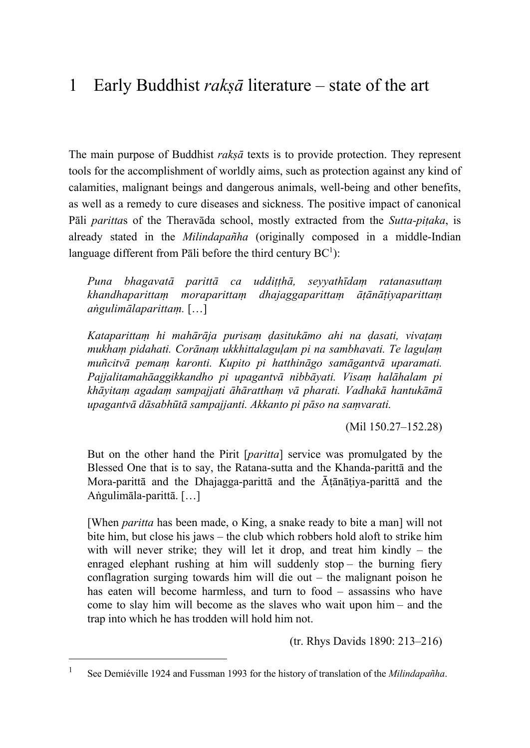# 1 Early Buddhist *rakṣā* literature – state of the art

The main purpose of Buddhist *rakṣā* texts is to provide protection. They represent tools for the accomplishment of worldly aims, such as protection against any kind of calamities, malignant beings and dangerous animals, well-being and other benefits, as well as a remedy to cure diseases and sickness. The positive impact of canonical Pāli *paritta*s of the Theravāda school, mostly extracted from the *Sutta-piṭaka*, is already stated in the *Milindapañha* (originally composed in a middle-Indian language different from Pāli before the third century  $BC^1$ ):

*Puna bhagavatā parittā ca uddiṭṭhā, seyyathīdaṃ ratanasuttaṃ khandhaparittaṃ moraparittaṃ dhajaggaparittaṃ āṭānāṭiyaparittaṃ aṅgulimālaparittaṃ.* […]

*Kataparittaṃ hi mahārāja purisaṃ ḍasitukāmo ahi na ḍasati, vivaṭaṃ mukhaṃ pidahati. Corānaṃ ukkhittalaguḷam pi na sambhavati. Te laguḷaṃ muñcitvā pemaṃ karonti. Kupito pi hatthināgo samāgantvā uparamati. Pajjalitamahāaggikkandho pi upagantvā nibbāyati. Visaṃ halāhalam pi khāyitaṃ agadaṃ sampajjati āhāratthaṃ vā pharati. Vadhakā hantukāmā upagantvā dāsabhūtā sampajjanti. Akkanto pi pāso na saṃvarati.* 

(Mil 150.27–152.28)

But on the other hand the Pirit [*paritta*] service was promulgated by the Blessed One that is to say, the Ratana-sutta and the Khanda-parittā and the Mora-parittā and the Dhajagga-parittā and the Āṭānāṭiya-parittā and the Aṅgulimāla-parittā. […]

[When *paritta* has been made, o King, a snake ready to bite a man] will not bite him, but close his jaws – the club which robbers hold aloft to strike him with will never strike; they will let it drop, and treat him kindly – the enraged elephant rushing at him will suddenly stop – the burning fiery conflagration surging towards him will die out – the malignant poison he has eaten will become harmless, and turn to food – assassins who have come to slay him will become as the slaves who wait upon him – and the trap into which he has trodden will hold him not.

(tr. Rhys Davids 1890: 213–216)

<sup>1</sup> See Demiéville 1924 and Fussman 1993 for the history of translation of the *Milindapañha*.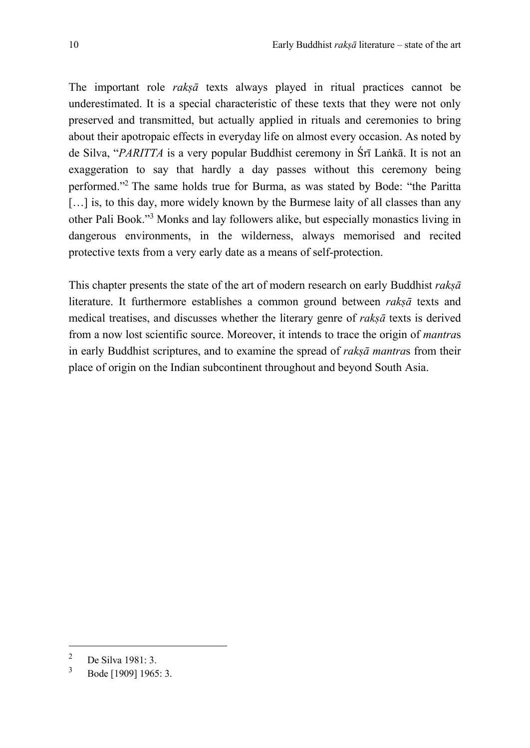The important role *rakṣā* texts always played in ritual practices cannot be underestimated. It is a special characteristic of these texts that they were not only preserved and transmitted, but actually applied in rituals and ceremonies to bring about their apotropaic effects in everyday life on almost every occasion. As noted by de Silva, "*PARITTA* is a very popular Buddhist ceremony in Śrī Laṅkā. It is not an exaggeration to say that hardly a day passes without this ceremony being performed."2 The same holds true for Burma, as was stated by Bode: "the Paritta [...] is, to this day, more widely known by the Burmese laity of all classes than any other Pali Book."<sup>3</sup> Monks and lay followers alike, but especially monastics living in dangerous environments, in the wilderness, always memorised and recited protective texts from a very early date as a means of self-protection.

This chapter presents the state of the art of modern research on early Buddhist *rakṣā* literature. It furthermore establishes a common ground between *rakṣā* texts and medical treatises, and discusses whether the literary genre of *rakṣā* texts is derived from a now lost scientific source. Moreover, it intends to trace the origin of *mantra*s in early Buddhist scriptures, and to examine the spread of *rakṣā mantra*s from their place of origin on the Indian subcontinent throughout and beyond South Asia.

<sup>&</sup>lt;sup>2</sup> De Silva 1981: 3.<br> $\frac{3}{2}$  De de 110001, 1065

<sup>3</sup> Bode [1909] 1965: 3.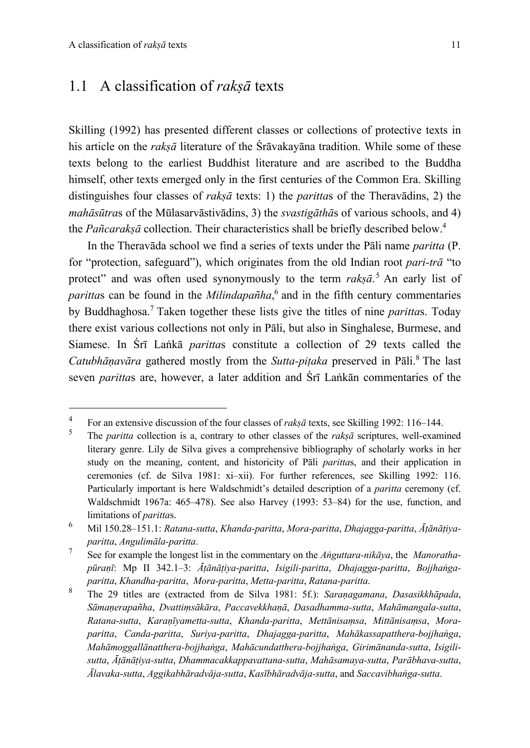### 1.1 A classification of *rakṣā* texts

Skilling (1992) has presented different classes or collections of protective texts in his article on the *rakṣā* literature of the Śrāvakayāna tradition. While some of these texts belong to the earliest Buddhist literature and are ascribed to the Buddha himself, other texts emerged only in the first centuries of the Common Era. Skilling distinguishes four classes of *rakṣā* texts: 1) the *paritta*s of the Theravādins, 2) the *mahāsūtra*s of the Mūlasarvāstivādins, 3) the *svastigāthā*s of various schools, and 4) the *Pañcarakṣā* collection. Their characteristics shall be briefly described below.4

In the Theravāda school we find a series of texts under the Pāli name *paritta* (P. for "protection, safeguard"), which originates from the old Indian root *pari-trā* "to protect" and was often used synonymously to the term *rakṣā*. <sup>5</sup> An early list of *paritta*s can be found in the *Milindapañha*, <sup>6</sup> and in the fifth century commentaries by Buddhaghosa. <sup>7</sup> Taken together these lists give the titles of nine *paritta*s. Today there exist various collections not only in Pāli, but also in Singhalese, Burmese, and Siamese. In Śrī Laṅkā *paritta*s constitute a collection of 29 texts called the *Catubhāṇavāra* gathered mostly from the *Sutta-piṭaka* preserved in Pāli.<sup>8</sup> The last seven *paritta*s are, however, a later addition and Śrī Laṅkān commentaries of the

<sup>&</sup>lt;sup>4</sup> For an extensive discussion of the four classes of *rakṣā* texts, see Skilling 1992: 116–144.

<sup>5</sup> The *paritta* collection is a, contrary to other classes of the *rakṣā* scriptures, well-examined literary genre. Lily de Silva gives a comprehensive bibliography of scholarly works in her study on the meaning, content, and historicity of Pāli *paritta*s, and their application in ceremonies (cf. de Silva 1981: xi–xii). For further references, see Skilling 1992: 116. Particularly important is here Waldschmidt's detailed description of a *paritta* ceremony (cf. Waldschmidt 1967a: 465–478). See also Harvey (1993: 53–84) for the use, function, and limitations of *paritta*s.

<sup>6</sup> Mil 150.28–151.1: *Ratana-sutta*, *Khanda-paritta*, *Mora-paritta*, *Dhajagga-paritta*, *Āṭānāṭiyaparitta*, *Angulimāla-paritta*.

<sup>7</sup> See for example the longest list in the commentary on the *Aṅguttara-nikāya*, the *Manorathapūraṇī*: Mp II 342.1–3: *Āṭānāṭiya-paritta*, *Isigili-paritta*, *Dhajagga-paritta*, *Bojjhaṅgaparitta*, *Khandha-paritta*, *Mora-paritta*, *Metta-paritta*, *Ratana-paritta*.

<sup>8</sup> The 29 titles are (extracted from de Silva 1981: 5f.): *Saraṇagamana*, *Dasasikkhāpada*, *Sāmaṇerapañha*, *Dvattiṃsākāra*, *Paccavekkhaṇā*, *Dasadhamma-sutta*, *Mahāmangala-sutta*, *Ratana-sutta*, *Karaṇīyametta-sutta*, *Khanda-paritta*, *Mettānisaṃsa*, *Mittānisaṃsa*, *Moraparitta*, *Canda-paritta*, *Suriya-paritta*, *Dhajagga-paritta*, *Mahākassapatthera-bojjhaṅga*, *Mahāmoggallānatthera-bojjhaṅga*, *Mahācundatthera-bojjhaṅga*, *Girimānanda-sutta*, *Isigilisutta*, *Āṭānāṭiya-sutta*, *Dhammacakkappavattana-sutta*, *Mahāsamaya-sutta*, *Parābhava-sutta*, *Ālavaka-sutta*, *Aggikabhāradvāja-sutta*, *Kasībhāradvāja-sutta*, and *Saccavibhaṅga-sutta*.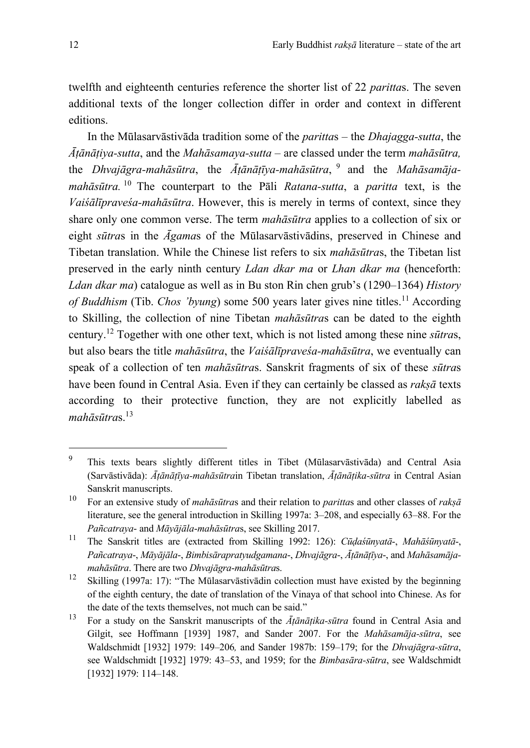twelfth and eighteenth centuries reference the shorter list of 22 *paritta*s. The seven additional texts of the longer collection differ in order and context in different editions.

In the Mūlasarvāstivāda tradition some of the *paritta*s – the *Dhajagga-sutta*, the *Āṭānāṭiya-sutta*, and the *Mahāsamaya-sutta* – are classed under the term *mahāsūtra,* the *Dhvajāgra-mahāsūtra*, the *Āṭānāṭīya-mahāsūtra*, <sup>9</sup> and the *Mahāsamājamahāsūtra.* <sup>10</sup> The counterpart to the Pāli *Ratana-sutta*, a *paritta* text, is the *Vaiśālīpraveśa-mahāsūtra*. However, this is merely in terms of context, since they share only one common verse. The term *mahāsūtra* applies to a collection of six or eight *sūtra*s in the *Āgama*s of the Mūlasarvāstivādins, preserved in Chinese and Tibetan translation. While the Chinese list refers to six *mahāsūtra*s, the Tibetan list preserved in the early ninth century *Ldan dkar ma* or *Lhan dkar ma* (henceforth: *Ldan dkar ma*) catalogue as well as in Bu ston Rin chen grub's (1290–1364) *History of Buddhism* (Tib. *Chos 'byung*) some 500 years later gives nine titles.<sup>11</sup> According to Skilling, the collection of nine Tibetan *mahāsūtra*s can be dated to the eighth century.12 Together with one other text, which is not listed among these nine *sūtra*s, but also bears the title *mahāsūtra*, the *Vaiśālīpraveśa-mahāsūtra*, we eventually can speak of a collection of ten *mahāsūtra*s. Sanskrit fragments of six of these *sūtra*s have been found in Central Asia. Even if they can certainly be classed as *rakṣā* texts according to their protective function, they are not explicitly labelled as *mahāsūtra*s.13

<sup>9</sup> This texts bears slightly different titles in Tibet (Mūlasarvāstivāda) and Central Asia (Sarvāstivāda): *Āṭānāṭīya-mahāsūtra*in Tibetan translation, *Āṭānāṭika-sūtra* in Central Asian Sanskrit manuscripts.

<sup>10</sup> For an extensive study of *mahāsūtra*s and their relation to *paritta*s and other classes of *rakṣā* literature, see the general introduction in Skilling 1997a: 3–208, and especially 63–88. For the *Pañcatraya*- and *Māyājāla*-*mahāsūtra*s, see Skilling 2017.

<sup>11</sup> The Sanskrit titles are (extracted from Skilling 1992: 126): *Cūḍaśūnyatā*-, *Mahāśūnyatā*-, *Pañcatraya*-, *Māyājāla*-, *Bimbisārapratyudgamana*-, *Dhvajāgra*-, *Āṭānāṭīya*-, and *Mahāsamājamahāsūtra*. There are two *Dhvajāgra*-*mahāsūtra*s.

<sup>&</sup>lt;sup>12</sup> Skilling (1997a: 17): "The Mūlasarvāstivādin collection must have existed by the beginning of the eighth century, the date of translation of the Vinaya of that school into Chinese. As for the date of the texts themselves, not much can be said."

<sup>13</sup> For a study on the Sanskrit manuscripts of the *Āṭānāṭika-sūtra* found in Central Asia and Gilgit, see Hoffmann [1939] 1987, and Sander 2007. For the *Mahāsamāja-sūtra*, see Waldschmidt [1932] 1979: 149–206*,* and Sander 1987b: 159–179; for the *Dhvajāgra-sūtra*, see Waldschmidt [1932] 1979: 43–53, and 1959; for the *Bimbasāra-sūtra*, see Waldschmidt [1932] 1979: 114–148.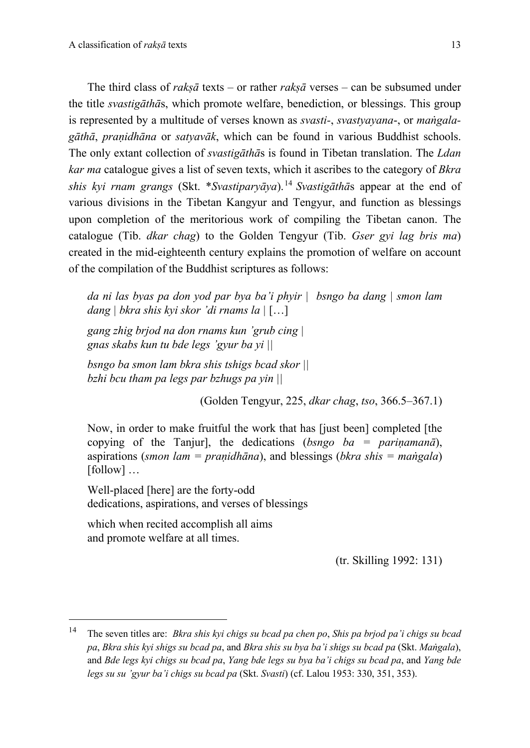The third class of *rakṣā* texts – or rather *rakṣā* verses – can be subsumed under the title *svastigāthā*s, which promote welfare, benediction, or blessings. This group is represented by a multitude of verses known as *svasti-*, *svastyayana*-, or *maṅgalagāthā*, *praṇidhāna* or *satyavāk*, which can be found in various Buddhist schools. The only extant collection of *svastigāthā*s is found in Tibetan translation. The *Ldan kar ma* catalogue gives a list of seven texts, which it ascribes to the category of *Bkra shis kyi rnam grangs* (Skt. \**Svastiparyāya*).<sup>14</sup> *Svastigāthā*s appear at the end of various divisions in the Tibetan Kangyur and Tengyur, and function as blessings upon completion of the meritorious work of compiling the Tibetan canon. The catalogue (Tib. *dkar chag*) to the Golden Tengyur (Tib. *Gser gyi lag bris ma*) created in the mid-eighteenth century explains the promotion of welfare on account of the compilation of the Buddhist scriptures as follows:

*da ni las byas pa don yod par bya ba'i phyir | bsngo ba dang | smon lam dang | bkra shis kyi skor 'di rnams la |* […]

*gang zhig brjod na don rnams kun 'grub cing | gnas skabs kun tu bde legs 'gyur ba yi ||* 

*bsngo ba smon lam bkra shis tshigs bcad skor || bzhi bcu tham pa legs par bzhugs pa yin ||*

(Golden Tengyur, 225, *dkar chag*, *tso*, 366.5–367.1)

Now, in order to make fruitful the work that has [just been] completed [the copying of the Tanjur], the dedications (*bsngo ba = pariṇamanā*), aspirations (*smon lam = praṇidhāna*), and blessings (*bkra shis = maṅgala*) [follow] ...

Well-placed [here] are the forty-odd dedications, aspirations, and verses of blessings

which when recited accomplish all aims and promote welfare at all times.

(tr. Skilling 1992: 131)

<sup>14</sup> The seven titles are: *Bkra shis kyi chigs su bcad pa chen po*, *Shis pa brjod pa'i chigs su bcad pa*, *Bkra shis kyi shigs su bcad pa*, and *Bkra shis su bya ba'i shigs su bcad pa* (Skt. *Maṅgala*), and *Bde legs kyi chigs su bcad pa*, *Yang bde legs su bya ba'i chigs su bcad pa*, and *Yang bde legs su su 'gyur ba'i chigs su bcad pa* (Skt. *Svasti*) (cf. Lalou 1953: 330, 351, 353).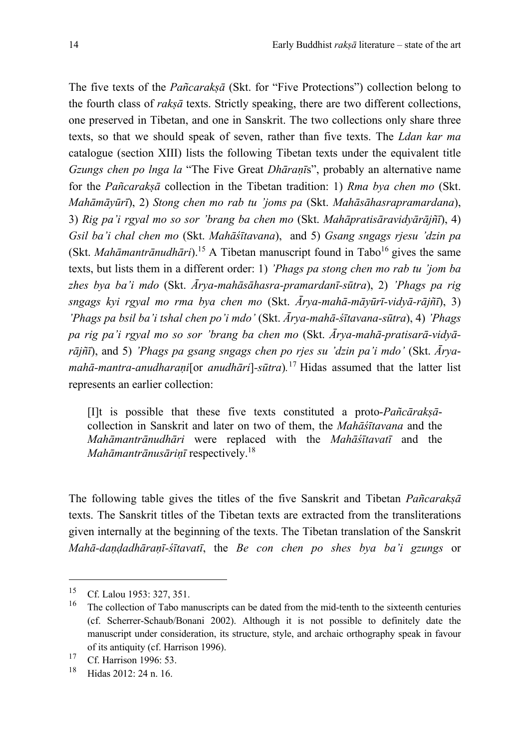The five texts of the *Pañcarakṣā* (Skt. for "Five Protections") collection belong to the fourth class of *rakṣā* texts. Strictly speaking, there are two different collections, one preserved in Tibetan, and one in Sanskrit. The two collections only share three texts, so that we should speak of seven, rather than five texts. The *Ldan kar ma* catalogue (section XIII) lists the following Tibetan texts under the equivalent title *Gzungs chen po lnga la* "The Five Great *Dhāraṇī*s", probably an alternative name for the *Pañcarakṣā* collection in the Tibetan tradition: 1) *Rma bya chen mo* (Skt. *Mahāmāyūrī*), 2) *Stong chen mo rab tu 'joms pa* (Skt. *Mahāsāhasrapramardana*), 3) *Rig pa'i rgyal mo so sor 'brang ba chen mo* (Skt. *Mahāpratisāravidyārājñī*), 4) *Gsil ba'i chal chen mo* (Skt. *Mahāśītavana*),and 5) *Gsang sngags rjesu 'dzin pa* (Skt. *Mahāmantrānudhāri*).<sup>15</sup> A Tibetan manuscript found in Tabo<sup>16</sup> gives the same texts, but lists them in a different order: 1) *'Phags pa stong chen mo rab tu 'jom ba zhes bya ba'i mdo* (Skt. *Ārya*-*mahāsāhasra-pramardanī-sūtra*), 2) *'Phags pa rig sngags kyi rgyal mo rma bya chen mo* (Skt. *Ārya-mahā-māyūrī-vidyā-rājñī*), 3) *'Phags pa bsil ba'i tshal chen po'i mdo'* (Skt. *Ārya-mahā-śītavana-sūtra*), 4) *'Phags pa rig pa'i rgyal mo so sor 'brang ba chen mo* (Skt. *Ārya-mahā-pratisarā-vidyārājñī*), and 5) *'Phags pa gsang sngags chen po rjes su 'dzin pa'i mdo'* (Skt. *Āryamahā-mantra-anudharaṇi*[or *anudhāri*]*-sūtra*)*.* <sup>17</sup> Hidas assumed that the latter list represents an earlier collection:

[I]t is possible that these five texts constituted a proto-*Pañcārakṣā*collection in Sanskrit and later on two of them, the *Mahāśītavana* and the *Mahāmantrānudhāri* were replaced with the *Mahāśītavatī* and the *Mahāmantrānusārinī* respectively.<sup>18</sup>

The following table gives the titles of the five Sanskrit and Tibetan *Pañcarakṣā* texts. The Sanskrit titles of the Tibetan texts are extracted from the transliterations given internally at the beginning of the texts. The Tibetan translation of the Sanskrit *Mahā-daṇḍadhāraṇī-śītavatī*, the *Be con chen po shes bya ba'i gzungs* or

<sup>&</sup>lt;sup>15</sup> Cf. Lalou 1953: 327, 351.

<sup>16</sup> The collection of Tabo manuscripts can be dated from the mid-tenth to the sixteenth centuries (cf. Scherrer-Schaub/Bonani 2002). Although it is not possible to definitely date the manuscript under consideration, its structure, style, and archaic orthography speak in favour of its antiquity (cf. Harrison 1996).

<sup>&</sup>lt;sup>17</sup> Cf. Harrison 1996: 53.

Hidas 2012: 24 n. 16.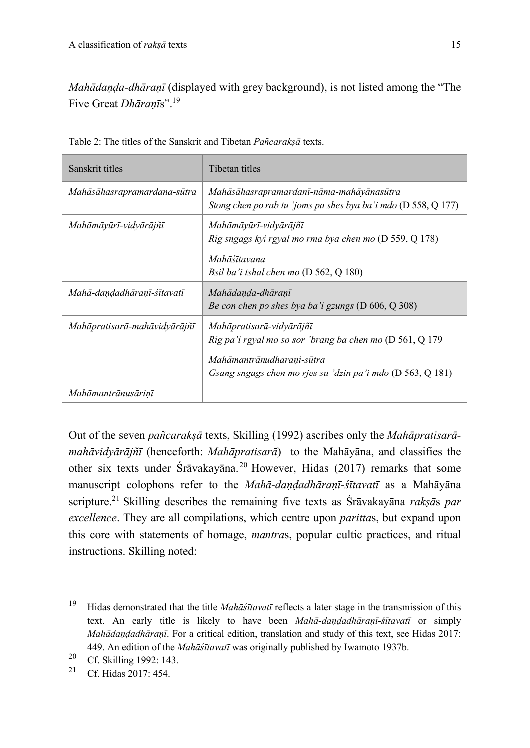*Mahādaṇḍa-dhāraṇī* (displayed with grey background), is not listed among the "The Five Great *Dhāraṇī*s".19

| Sanskrit titles              | Tibetan titles                                                                                               |  |
|------------------------------|--------------------------------------------------------------------------------------------------------------|--|
| Mahāsāhasrapramardana-sūtra  | Mahāsāhasrapramardanī-nāma-mahāyānasūtra<br>Stong chen po rab tu 'joms pa shes bya ba'i mdo $(D 558, Q 177)$ |  |
| Mahāmāyūrī-vidyārājñī        | Mahāmāyūrī-vidyārājñī<br>Rig sngags kyi rgyal mo rma bya chen mo (D 559, Q 178)                              |  |
|                              | Mahāśītavana<br>Bsil ba'i tshal chen mo $(D 562, Q 180)$                                                     |  |
| Mahā-dandadhāranī-śītavatī   | Mahādanda-dhāranī<br>Be con chen po shes bya ba'i gzungs (D 606, Q 308)                                      |  |
| Mahāpratisarā-mahāvidyārājñī | Mahāpratisarā-vidyārājñī<br>Rig pa'i rgyal mo so sor 'brang ba chen mo $(D 561, Q 179)$                      |  |
|                              | Mahāmantrānudharani-sūtra<br>Gsang sngags chen mo rjes su 'dzin pa'i mdo (D 563, Q 181)                      |  |
| Mahāmantrānusārinī           |                                                                                                              |  |

Table 2: The titles of the Sanskrit and Tibetan *Pañcarakṣā* texts.

Out of the seven *pañcarakṣā* texts, Skilling (1992) ascribes only the *Mahāpratisarāmahāvidyārājñī* (henceforth: *Mahāpratisarā*) to the Mahāyāna, and classifies the other six texts under Śrāvakayāna. <sup>20</sup> However, Hidas (2017) remarks that some manuscript colophons refer to the *Mahā-daṇḍadhāraṇī-śītavatī* as a Mahāyāna scripture.<sup>21</sup> Skilling describes the remaining five texts as Śrāvakayāna *rakṣā*s *par excellence*. They are all compilations, which centre upon *paritta*s, but expand upon this core with statements of homage, *mantra*s, popular cultic practices, and ritual instructions. Skilling noted:

<sup>19</sup> Hidas demonstrated that the title *Mahāśītavatī* reflects a later stage in the transmission of this text. An early title is likely to have been *Mahā-daṇḍadhāraṇī-śītavatī* or simply *Mahādaṇḍadhāraṇī*. For a critical edition, translation and study of this text, see Hidas 2017: 449. An edition of the *Mahāśītavatī* was originally published by Iwamoto 1937b.

<sup>&</sup>lt;sup>20</sup> Cf. Skilling 1992: 143.<br><sup>21</sup> Cf. U. d. 2017: 454.

<sup>21</sup> Cf. Hidas 2017: 454.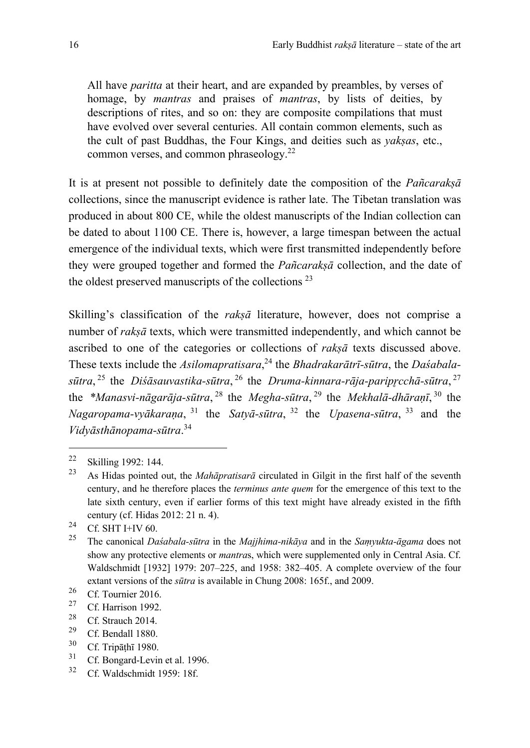All have *paritta* at their heart, and are expanded by preambles, by verses of homage, by *mantras* and praises of *mantras*, by lists of deities, by descriptions of rites, and so on: they are composite compilations that must have evolved over several centuries. All contain common elements, such as the cult of past Buddhas, the Four Kings, and deities such as *yakṣas*, etc., common verses, and common phraseology.22

It is at present not possible to definitely date the composition of the *Pañcarakṣā* collections, since the manuscript evidence is rather late. The Tibetan translation was produced in about 800 CE, while the oldest manuscripts of the Indian collection can be dated to about 1100 CE. There is, however, a large timespan between the actual emergence of the individual texts, which were first transmitted independently before they were grouped together and formed the *Pañcarakṣā* collection, and the date of the oldest preserved manuscripts of the collections  $2<sup>3</sup>$ 

Skilling's classification of the *rakṣā* literature, however, does not comprise a number of *rakṣā* texts, which were transmitted independently, and which cannot be ascribed to one of the categories or collections of *rakṣā* texts discussed above. These texts include the *Asilomapratisara*, <sup>24</sup> the *Bhadrakarātrī-sūtra*, the *Daśabalasūtra*, <sup>25</sup> the *Diśāsauvastika-sūtra*, <sup>26</sup> the *Druma-kinnara-rāja-paripr̥cchā-sūtra*, <sup>27</sup> the *\*Manasvi-nāgarāja-sūtra*, <sup>28</sup> the *Megha-sūtra*, <sup>29</sup> the *Mekhalā-dhāraṇī*, <sup>30</sup> the *Nagaropama-vyākaraṇa*, <sup>31</sup> the *Satyā-sūtra*, <sup>32</sup> the *Upasena-sūtra*, <sup>33</sup> and the *Vidyāsthānopama-sūtra*. 34

 $^{31}$  Cf. Bongard-Levin et al. 1996.<br> $^{32}$  Cf. Weldschmidt 1050: 195

 $\frac{22}{23}$  Skilling 1992: 144.

<sup>23</sup> As Hidas pointed out, the *Mahāpratisarā* circulated in Gilgit in the first half of the seventh century, and he therefore places the *terminus ante quem* for the emergence of this text to the late sixth century, even if earlier forms of this text might have already existed in the fifth century (cf. Hidas 2012: 21 n. 4).

<sup>&</sup>lt;sup>24</sup> Cf. SHT I+IV 60.

<sup>25</sup> The canonical *Daśabala-sūtra* in the *Majjhima-nikāya* and in the *Saṃyukta-āgama* does not show any protective elements or *mantra*s, which were supplemented only in Central Asia. Cf. Waldschmidt [1932] 1979: 207–225, and 1958: 382–405. A complete overview of the four extant versions of the *sūtra* is available in Chung 2008: 165f., and 2009.

 $\frac{26}{27}$  Cf. Tournier 2016.

 $\frac{27}{28}$  Cf. Harrison 1992.

<sup>&</sup>lt;sup>28</sup> Cf. Strauch 2014.

<sup>&</sup>lt;sup>29</sup> Cf. Bendall 1880.<br> $^{30}$  Cf. Trip 5th 5 1080.

 $rac{30}{31}$  Cf. Tripāṭhī 1980.

Cf. Waldschmidt 1959: 18f.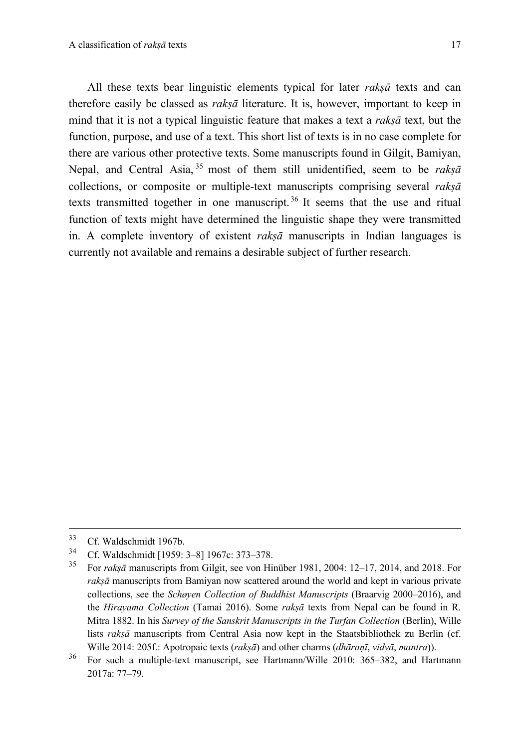All these texts bear linguistic elements typical for later *rakṣā* texts and can therefore easily be classed as *rakṣā* literature. It is, however, important to keep in mind that it is not a typical linguistic feature that makes a text a *rakṣā* text, but the function, purpose, and use of a text. This short list of texts is in no case complete for there are various other protective texts. Some manuscripts found in Gilgit, Bamiyan, Nepal, and Central Asia, <sup>35</sup> most of them still unidentified, seem to be *rakṣā* collections, or composite or multiple-text manuscripts comprising several *rakṣā*  texts transmitted together in one manuscript. <sup>36</sup> It seems that the use and ritual function of texts might have determined the linguistic shape they were transmitted in. A complete inventory of existent *rakṣā* manuscripts in Indian languages is currently not available and remains a desirable subject of further research.

 $33$  Cf. Waldschmidt 1967b.<br> $34$  Cf. Waldschmidt 1960.

 $^{34}$  Cf. Waldschmidt [1959: 3–8] 1967c: 373–378.

<sup>35</sup> For *rakṣā* manuscripts from Gilgit, see von Hinüber 1981, 2004: 12–17, 2014, and 2018. For *rakṣā* manuscripts from Bamiyan now scattered around the world and kept in various private collections, see the *Schøyen Collection of Buddhist Manuscripts* (Braarvig 2000–2016), and the *Hirayama Collection* (Tamai 2016). Some *rakṣā* texts from Nepal can be found in R. Mitra 1882. In his *Survey of the Sanskrit Manuscripts in the Turfan Collection* (Berlin), Wille lists *rakṣā* manuscripts from Central Asia now kept in the Staatsbibliothek zu Berlin (cf. Wille 2014: 205f.: Apotropaic texts (*rakṣā*) and other charms (*dhāraṇī*, *vidyā*, *mantra*)).

<sup>36</sup> For such a multiple-text manuscript, see Hartmann/Wille 2010: 365–382, and Hartmann 2017a: 77–79.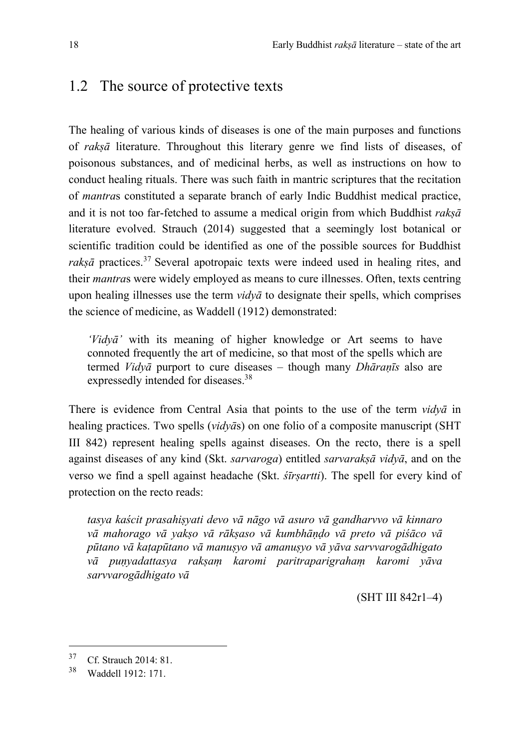#### 1.2 The source of protective texts

The healing of various kinds of diseases is one of the main purposes and functions of *rakṣā* literature. Throughout this literary genre we find lists of diseases, of poisonous substances, and of medicinal herbs, as well as instructions on how to conduct healing rituals. There was such faith in mantric scriptures that the recitation of *mantra*s constituted a separate branch of early Indic Buddhist medical practice, and it is not too far-fetched to assume a medical origin from which Buddhist *rakṣā*  literature evolved. Strauch (2014) suggested that a seemingly lost botanical or scientific tradition could be identified as one of the possible sources for Buddhist raksā practices.<sup>37</sup> Several apotropaic texts were indeed used in healing rites, and their *mantra*s were widely employed as means to cure illnesses. Often, texts centring upon healing illnesses use the term *vidyā* to designate their spells, which comprises the science of medicine, as Waddell (1912) demonstrated:

*'Vidyā'* with its meaning of higher knowledge or Art seems to have connoted frequently the art of medicine, so that most of the spells which are termed *Vidyā* purport to cure diseases – though many *Dhāraṇīs* also are expressedly intended for diseases.<sup>38</sup>

There is evidence from Central Asia that points to the use of the term *vidyā* in healing practices. Two spells (*vidyā*s) on one folio of a composite manuscript (SHT III 842) represent healing spells against diseases. On the recto, there is a spell against diseases of any kind (Skt. *sarvaroga*) entitled *sarvarakṣā vidyā*, and on the verso we find a spell against headache (Skt. *śīrṣartti*). The spell for every kind of protection on the recto reads:

*tasya kaścit prasahiṣyati devo vā nāgo vā asuro vā gandharvvo vā kinnaro vā mahorago vā yakṣo vā rākṣaso vā kumbhāṇḍo vā preto vā piśāco vā pūtano vā kaṭapūtano vā manuṣyo vā amanuṣyo vā yāva sarvvarogādhigato vā puṇyadattasya rakṣaṃ karomi paritraparigrahaṃ karomi yāva sarvvarogādhigato vā*

(SHT III 842r1–4)

 $37$  Cf. Strauch 2014: 81.<br> $38$  W<sub>1</sub> 44-11 1012: 171

Waddell 1912: 171.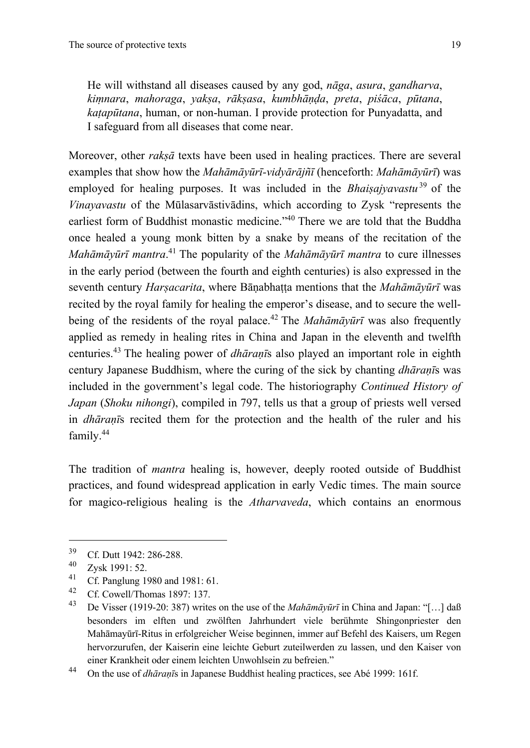He will withstand all diseases caused by any god, *nāga*, *asura*, *gandharva*, *kiṃnara*, *mahoraga*, *yakṣa*, *rākṣasa*, *kumbhāṇḍa*, *preta*, *piśāca*, *pūtana*, *kaṭapūtana*, human, or non-human. I provide protection for Punyadatta, and I safeguard from all diseases that come near.

Moreover, other *rakṣā* texts have been used in healing practices. There are several examples that show how the *Mahāmāyūrī-vidyārājñī* (henceforth: *Mahāmāyūrī*) was employed for healing purposes. It was included in the *Bhaisajyavastu*<sup>39</sup> of the *Vinayavastu* of the Mūlasarvāstivādins, which according to Zysk "represents the earliest form of Buddhist monastic medicine."40 There we are told that the Buddha once healed a young monk bitten by a snake by means of the recitation of the *Mahāmāyūrī mantra*. <sup>41</sup> The popularity of the *Mahāmāyūrī mantra* to cure illnesses in the early period (between the fourth and eighth centuries) is also expressed in the seventh century *Harṣacarita*, where Bāṇabhaṭṭa mentions that the *Mahāmāyūrī* was recited by the royal family for healing the emperor's disease, and to secure the wellbeing of the residents of the royal palace.<sup>42</sup> The *Mahāmāyūrī* was also frequently applied as remedy in healing rites in China and Japan in the eleventh and twelfth centuries. <sup>43</sup> The healing power of *dhāraṇī*s also played an important role in eighth century Japanese Buddhism, where the curing of the sick by chanting *dhāraṇī*s was included in the government's legal code. The historiography *Continued History of Japan* (*Shoku nihongi*), compiled in 797, tells us that a group of priests well versed in *dhāraṇī*s recited them for the protection and the health of the ruler and his family.44

The tradition of *mantra* healing is, however, deeply rooted outside of Buddhist practices, and found widespread application in early Vedic times. The main source for magico-religious healing is the *Atharvaveda*, which contains an enormous

 $^{39}$  Cf. Dutt 1942: 286-288.

 $\frac{40}{41}$  Zysk 1991: 52.

<sup>&</sup>lt;sup>41</sup> Cf. Panglung 1980 and 1981: 61.<br><sup>42</sup> Cf. Consell/Themas 1997: 127.

<sup>&</sup>lt;sup>42</sup> Cf. Cowell/Thomas 1897: 137.

<sup>43</sup> De Visser (1919-20: 387) writes on the use of the *Mahāmāyūrī* in China and Japan: "[…] daß besonders im elften und zwölften Jahrhundert viele berühmte Shingonpriester den Mahāmayūrī-Ritus in erfolgreicher Weise beginnen, immer auf Befehl des Kaisers, um Regen hervorzurufen, der Kaiserin eine leichte Geburt zuteilwerden zu lassen, und den Kaiser von einer Krankheit oder einem leichten Unwohlsein zu befreien."

<sup>44</sup> On the use of *dhāraṇī*s in Japanese Buddhist healing practices, see Abé 1999: 161f.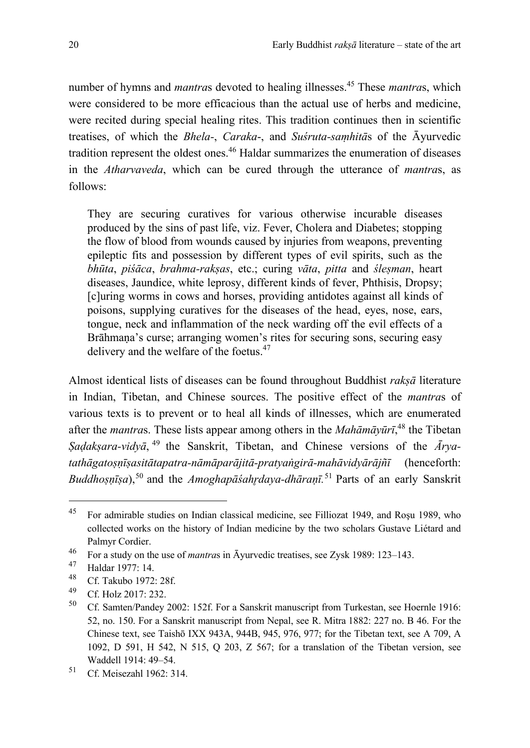number of hymns and *mantra*s devoted to healing illnesses.45 These *mantra*s, which were considered to be more efficacious than the actual use of herbs and medicine, were recited during special healing rites. This tradition continues then in scientific treatises, of which the *Bhela-*, *Caraka*-, and *Suśruta-saṃhitā*s of the Āyurvedic tradition represent the oldest ones.<sup>46</sup> Haldar summarizes the enumeration of diseases in the *Atharvaveda*, which can be cured through the utterance of *mantra*s, as follows:

They are securing curatives for various otherwise incurable diseases produced by the sins of past life, viz. Fever, Cholera and Diabetes; stopping the flow of blood from wounds caused by injuries from weapons, preventing epileptic fits and possession by different types of evil spirits, such as the *bhūta*, *piśāca*, *brahma-rakṣas*, etc.; curing *vāta*, *pitta* and *śleṣman*, heart diseases, Jaundice, white leprosy, different kinds of fever, Phthisis, Dropsy; [c]uring worms in cows and horses, providing antidotes against all kinds of poisons, supplying curatives for the diseases of the head, eyes, nose, ears, tongue, neck and inflammation of the neck warding off the evil effects of a Brāhmana's curse; arranging women's rites for securing sons, securing easy delivery and the welfare of the foetus.<sup>47</sup>

Almost identical lists of diseases can be found throughout Buddhist *rakṣā* literature in Indian, Tibetan, and Chinese sources. The positive effect of the *mantra*s of various texts is to prevent or to heal all kinds of illnesses, which are enumerated after the *mantra*s. These lists appear among others in the *Mahāmāyūrī*, <sup>48</sup> the Tibetan *Ṣaḍakṣara-vidyā*, <sup>49</sup> the Sanskrit, Tibetan, and Chinese versions of the *Āryatathāgatoṣṇīṣasitātapatra-nāmāparājitā-pratyaṅgirā-mahāvidyārājñī* (henceforth: *Buddhoṣṇīṣa*),<sup>50</sup> and the *Amoghapāśahr̥daya-dhāraṇī.* <sup>51</sup> Parts of an early Sanskrit

<sup>45</sup> For admirable studies on Indian classical medicine, see Filliozat 1949, and Roşu 1989, who collected works on the history of Indian medicine by the two scholars Gustave Liétard and Palmyr Cordier.

<sup>46</sup> For a study on the use of *mantra*s in Āyurvedic treatises, see Zysk 1989: 123–143.

 $^{47}$  Haldar 1977: 14.

<sup>&</sup>lt;sup>48</sup> Cf. Takubo 1972: 28f.

 $^{49}$  Cf. Holz 2017: 232.

<sup>50</sup> Cf. Samten/Pandey 2002: 152f. For a Sanskrit manuscript from Turkestan, see Hoernle 1916: 52, no. 150. For a Sanskrit manuscript from Nepal, see R. Mitra 1882: 227 no. B 46. For the Chinese text, see Taishō IXX 943A, 944B, 945, 976, 977; for the Tibetan text, see A 709, A 1092, D 591, H 542, N 515, Q 203, Z 567; for a translation of the Tibetan version, see Waddell 1914: 49–54.

<sup>51</sup> Cf. Meisezahl 1962: 314.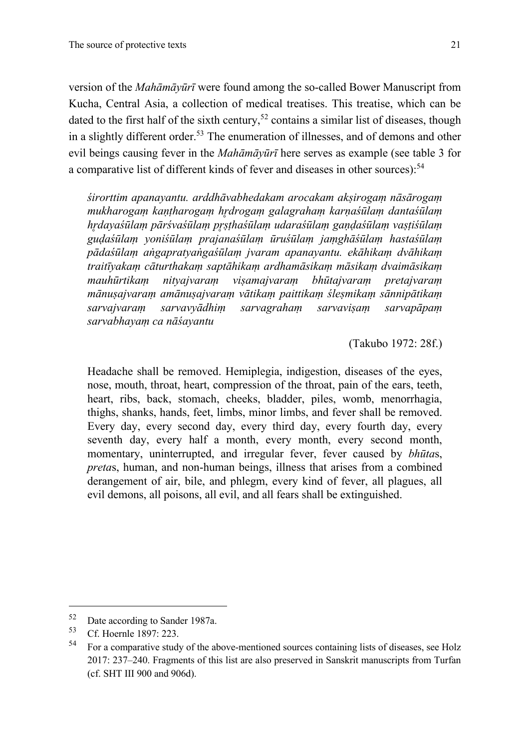version of the *Mahāmāyūrī* were found among the so-called Bower Manuscript from Kucha, Central Asia, a collection of medical treatises. This treatise, which can be dated to the first half of the sixth century,<sup>52</sup> contains a similar list of diseases, though in a slightly different order.<sup>53</sup> The enumeration of illnesses, and of demons and other evil beings causing fever in the *Mahāmāyūrī* here serves as example (see table 3 for a comparative list of different kinds of fever and diseases in other sources):<sup>54</sup>

*śirorttim apanayantu. arddhāvabhedakam arocakam akṣirogaṃ nāsārogaṃ mukharogaṃ kaṇṭharogaṃ hr̥drogaṃ galagrahaṃ karṇaśūlaṃ dantaśūlaṃ hr̥dayaśūlaṃ pārśvaśūlaṃ pr̥ṣṭhaśūlaṃ udaraśūlaṃ gaṇḍaśūlaṃ vaṣṭiśūlaṃ guḍaśūlaṃ yoniśūlaṃ prajanaśūlaṃ ūruśūlaṃ jaṃghāśūlaṃ hastaśūlaṃ pādaśūlaṃ aṅgapratyaṅgaśūlaṃ jvaram apanayantu. ekāhikaṃ dvāhikaṃ traitīyakaṃ cāturthakaṃ saptāhikaṃ ardhamāsikaṃ māsikaṃ dvaimāsikaṃ mauhūrtikaṃ nityajvaraṃ viṣamajvaraṃ bhūtajvaraṃ pretajvaraṃ mānuṣajvaraṃ amānuṣajvaraṃ vātikaṃ paittikaṃ śleṣmikaṃ sānnipātikaṃ sarvajvaraṃ sarvavyādhiṃ sarvagrahaṃ sarvaviṣaṃ sarvapāpaṃ sarvabhayaṃ ca nāśayantu* 

(Takubo 1972: 28f.)

Headache shall be removed. Hemiplegia, indigestion, diseases of the eyes, nose, mouth, throat, heart, compression of the throat, pain of the ears, teeth, heart, ribs, back, stomach, cheeks, bladder, piles, womb, menorrhagia, thighs, shanks, hands, feet, limbs, minor limbs, and fever shall be removed. Every day, every second day, every third day, every fourth day, every seventh day, every half a month, every month, every second month, momentary, uninterrupted, and irregular fever, fever caused by *bhūta*s, *preta*s, human, and non-human beings, illness that arises from a combined derangement of air, bile, and phlegm, every kind of fever, all plagues, all evil demons, all poisons, all evil, and all fears shall be extinguished.

 $52$  Date according to Sander 1987a.<br> $53$  OS H<sub>1</sub> 1997 222

 $54$  Cf. Hoernle 1897: 223.

<sup>54</sup> For a comparative study of the above-mentioned sources containing lists of diseases, see Holz 2017: 237–240. Fragments of this list are also preserved in Sanskrit manuscripts from Turfan (cf. SHT III 900 and 906d).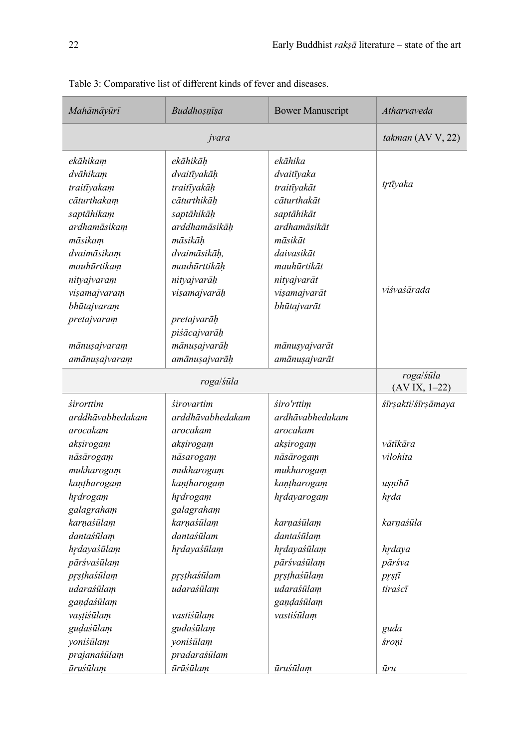| Mahāmāyūrī       | Buddhosnīsa      | <b>Bower Manuscript</b> | Atharvaveda                  |
|------------------|------------------|-------------------------|------------------------------|
| jvara            |                  |                         | takman (AV V, 22)            |
| ekāhikam         | ekāhikāh         | ekāhika                 |                              |
| dvāhikam         | dvaitīyakāh      | dvaitīyaka              | trtīyaka                     |
| traitīyakam      | traitīyakāh      | traitīyakāt             |                              |
| cāturthakam      | cāturthikāḥ      | cāturthakāt             |                              |
| saptāhikam       | saptāhikāh       | saptāhikāt              |                              |
| ardhamāsikam     | arddhamāsikāḥ    | ardhamāsikāt            |                              |
| māsikam          | māsikāh          | māsikāt                 |                              |
| dvaimāsikam      | dvaimāsikāh,     | daivasikāt              |                              |
| mauhūrtikam      | mauhūrttikāh     | mauhūrtikāt             |                              |
| nityajvaram      | nityajvarāķ      | nityajvarāt             |                              |
| vişamajvaram     | vişamajvarāķ     | vişamajvarāt            | viśvaśārada                  |
| bhūtajvaram      |                  | bhūtajvarāt             |                              |
| pretajvaram      | pretajvarāķ      |                         |                              |
|                  | piśācajvarāķ     |                         |                              |
| mānusajvaram     | mānuşajvarāķ     | mānusyajvarāt           |                              |
| amānusajvaram    | amānuşajvarāķ    | amānusajvarāt           |                              |
| roga/śūla        |                  |                         | roga/śūla<br>$(AV IX, 1-22)$ |
| <i>sirorttim</i> | śirovartim       | śiro'rttim              | śīrșakti/śīrșāmaya           |
| arddhāvabhedakam | arddhāvabhedakam | ardhāvabhedakam         |                              |
| arocakam         | arocakam         | arocakam                |                              |
| akşirogam        | akşirogam        | akşirogam               | vātīkāra                     |
| nāsārogam        | nāsarogam        | nāsārogam               | vilohita                     |
| mukharogam       | mukharogam       | mukharogam              |                              |
| kantharogam      | kantharogam      | kantharogam             | uṣṇihā                       |
| hrdrogam         | hrdrogam         | hrdayarogam             | hrda                         |
| galagraham       | galagraham       |                         |                              |
| karnaśūlam       | karņaśūlam       | karnaśūlam              | karnaśūla                    |
| dantaśūlam       | dantaśūlam       | dantaśūlam              |                              |
| hrdayaśūlam      | hrdayaśūlam      | hrdayaśūlam             | hrdaya                       |
| pārśvaśūlam      |                  | pārśvaśūlam             | pārśva                       |
| prsthaśūlam      | prsthaśūlam      | prsthaśūlam             | prstī                        |
| udaraśūlam       | udaraśūlam       | udaraśūlam              | tiraścī                      |
| gaņḍaśūlam       |                  | gaņḍaśūlam              |                              |
| vaştisülam       | vastiśūlam       | vastiśūlam              |                              |
| gudaśūlam        | gudaśūlam        |                         | guda                         |
| yoniśūlam        | yoniśūlam        |                         | śroņi                        |
| prajanaśūlam     | pradaraśūlam     |                         |                              |
| ūruśūlam         | ūrūśūlam         | ūruśūlam                | ūru                          |

Table 3: Comparative list of different kinds of fever and diseases.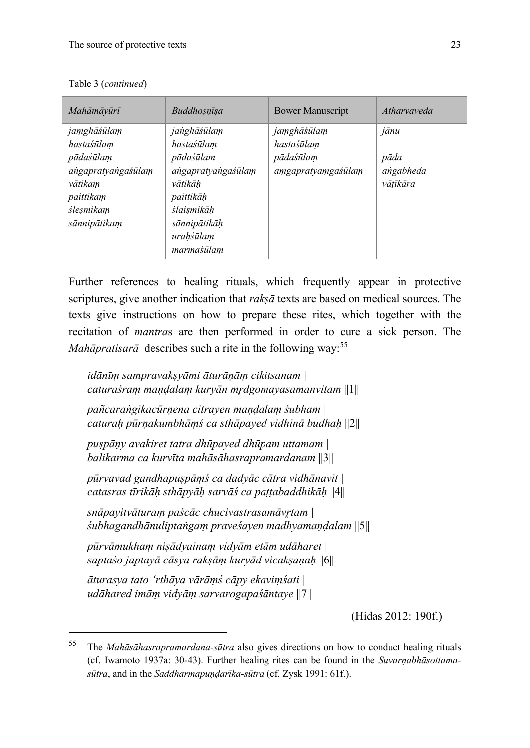| Mahāmāvūrī         | Buddhosnīsa        | <b>Bower Manuscript</b> | Atharyayeda |
|--------------------|--------------------|-------------------------|-------------|
| jamghāśūlam        | janghāśūlam        | jamghāśūlam             | jānu        |
| hastaśūlam         | hastaśūlam         | hastaśūlam              |             |
| pādaśūlam          | pādaśūlam          | pādaśūlam               | pāda        |
| angapratyangaśūlam | angapratyangaśūlam | amgapratyamgaśūlam      | angabheda   |
| vātikam            | vātikāh            |                         | vātīkāra    |
| paittikam          | paittikāh          |                         |             |
| ślesmikam          | ślaismikāh         |                         |             |
| sānnipātikam       | sānnipātikāh       |                         |             |
|                    | urahśūlam          |                         |             |
|                    | marmaśūlam         |                         |             |

Table 3 (*continued*)

Further references to healing rituals, which frequently appear in protective scriptures, give another indication that *rakṣā* texts are based on medical sources. The texts give instructions on how to prepare these rites, which together with the recitation of *mantra*s are then performed in order to cure a sick person. The *Mahāpratisarā* describes such a rite in the following way:<sup>55</sup>

*idānīṃ sampravakṣyāmi āturāṇāṃ cikitsanam | caturaśraṃ maṇḍalaṃ kuryān mr̥dgomayasamanvitam* ||1||

*pañcaraṅgikacūrṇena citrayen maṇḍalaṃ śubham | caturaḥ pūrṇakumbhāṃś ca sthāpayed vidhinā budhaḥ* ||2||

*puṣpāṇy avakiret tatra dhūpayed dhūpam uttamam | balikarma ca kurvīta mahāsāhasrapramardanam* ||3||

*pūrvavad gandhapuṣpāṃś ca dadyāc cātra vidhānavit | catasras tīrikāḥ sthāpyāḥ sarvāś ca paṭṭabaddhikāḥ* ||4||

*snāpayitvāturaṃ paścāc chucivastrasamāvr̥tam | śubhagandhānuliptaṅgaṃ praveśayen madhyamaṇḍalam* ||5||

*pūrvāmukhaṃ niṣādyainaṃ vidyām etām udāharet | saptaśo japtayā cāsya rakṣāṃ kuryād vicakṣaṇaḥ* ||6||

*āturasya tato 'rthāya vārāṃś cāpy ekaviṃśati | udāhared imāṃ vidyāṃ sarvarogapaśāntaye* ||7||

(Hidas 2012: 190f.)

<sup>55</sup> The *Mahāsāhasrapramardana-sūtra* also gives directions on how to conduct healing rituals (cf. Iwamoto 1937a: 30-43). Further healing rites can be found in the *Suvarṇabhāsottamasūtra*, and in the *Saddharmapuṇḍarīka-sūtra* (cf. Zysk 1991: 61f.).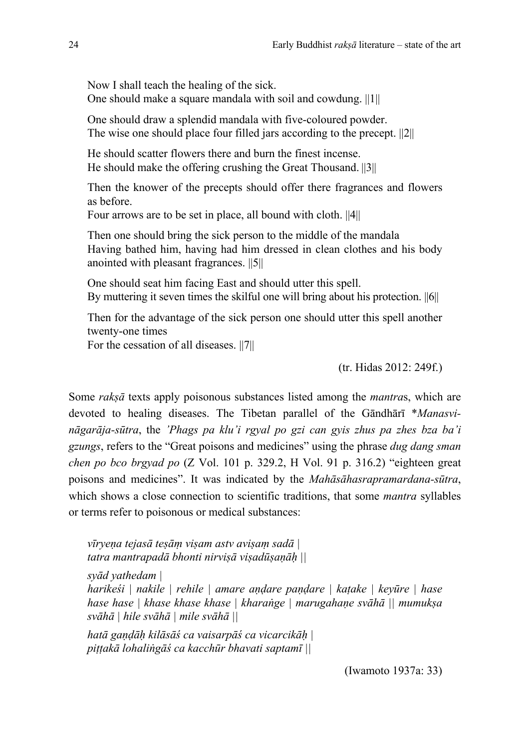Now I shall teach the healing of the sick. One should make a square mandala with soil and cowdung. ||1||

One should draw a splendid mandala with five-coloured powder. The wise one should place four filled jars according to the precept. ||2||

He should scatter flowers there and burn the finest incense. He should make the offering crushing the Great Thousand. ||3||

Then the knower of the precepts should offer there fragrances and flowers as before.

Four arrows are to be set in place, all bound with cloth. ||4||

Then one should bring the sick person to the middle of the mandala Having bathed him, having had him dressed in clean clothes and his body anointed with pleasant fragrances. ||5||

One should seat him facing East and should utter this spell. By muttering it seven times the skilful one will bring about his protection. ||6||

Then for the advantage of the sick person one should utter this spell another twenty-one times

For the cessation of all diseases.  $||7||$ 

(tr. Hidas 2012: 249f.)

Some *rakṣā* texts apply poisonous substances listed among the *mantra*s, which are devoted to healing diseases. The Tibetan parallel of the Gāndhārī \**Manasvināgarāja-sūtra*, the *'Phags pa klu'i rgyal po gzi can gyis zhus pa zhes bza ba'i gzungs*, refers to the "Great poisons and medicines" using the phrase *dug dang sman chen po bco brgyad po* (Z Vol. 101 p. 329.2, H Vol. 91 p. 316.2) "eighteen great poisons and medicines". It was indicated by the *Mahāsāhasrapramardana-sūtra*, which shows a close connection to scientific traditions, that some *mantra* syllables or terms refer to poisonous or medical substances:

*vīryeṇa tejasā teṣāṃ viṣam astv aviṣaṃ sadā | tatra mantrapadā bhonti nirviṣā viṣadūṣaṇāḥ || syād yathedam | harikeśi | nakile | rehile | amare aṇḍare paṇḍare | kaṭake | keyūre | hase hase hase | khase khase khase | kharaṅge | marugahaṇe svāhā || mumukṣa svāhā | hile svāhā | mile svāhā || hatā gaṇḍāḥ kilāsāś ca vaisarpāś ca vicarcikāḥ | piṭṭakā lohaliṅgāś ca kacchūr bhavati saptamī ||*

(Iwamoto 1937a: 33)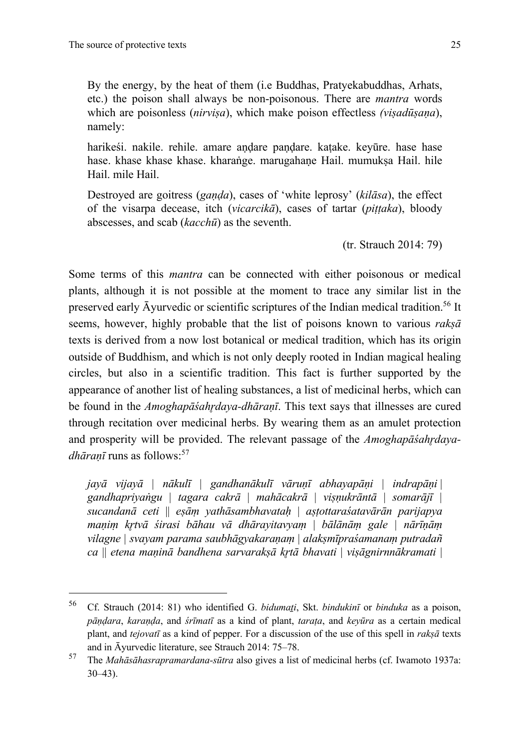By the energy, by the heat of them (i.e Buddhas, Pratyekabuddhas, Arhats, etc.) the poison shall always be non-poisonous. There are *mantra* words which are poisonless (*nirviṣa*), which make poison effectless *(viṣadūṣaṇa*), namely:

harikeśi. nakile. rehile. amare andare pandare. katake. keyūre. hase hase hase. khase khase khase. kharaṅge. marugahane Hail. mumuksa Hail. hile Hail. mile Hail.

Destroyed are goitress (*gaṇḍa*), cases of 'white leprosy' (*kilāsa*), the effect of the visarpa decease, itch (*vicarcikā*), cases of tartar (*piṭṭaka*), bloody abscesses, and scab (*kacchū*) as the seventh.

(tr. Strauch 2014: 79)

Some terms of this *mantra* can be connected with either poisonous or medical plants, although it is not possible at the moment to trace any similar list in the preserved early Āyurvedic or scientific scriptures of the Indian medical tradition.<sup>56</sup> It seems, however, highly probable that the list of poisons known to various *rakṣā* texts is derived from a now lost botanical or medical tradition, which has its origin outside of Buddhism, and which is not only deeply rooted in Indian magical healing circles, but also in a scientific tradition. This fact is further supported by the appearance of another list of healing substances, a list of medicinal herbs, which can be found in the *Amoghapāśahrdaya-dhāranī*. This text says that illnesses are cured through recitation over medicinal herbs. By wearing them as an amulet protection and prosperity will be provided. The relevant passage of the *Amoghapāśahrdayadhāraṇī* runs as follows:<sup>57</sup>

*jayā vijayā* | *nākulī* | *gandhanākulī vāruṇī abhayapāṇi* | *indrapāṇi* | *gandhapriyaṅgu | tagara cakrā | mahācakrā | viṣṇukrāntā | somarājī | sucandanā ceti* || *eṣāṃ yathāsambhavataḥ* | *aṣṭottaraśatavārān parijapya maṇiṃ kr̥tvā śirasi bāhau vā dhārayitavyaṃ* | *bālānāṃ gale | nārīṇāṃ vilagne | svayam parama saubhāgyakaraṇaṃ* | *alakṣmīpraśamanaṃ putradañ ca* || *etena maṇinā bandhena sarvarakṣā kr̥tā bhavati* | *viṣāgnirnnākramati* |

<sup>&</sup>lt;sup>56</sup> Cf. Strauch (2014: 81) who identified G. *bidumati*, Skt. *bindukinī* or *binduka* as a poison, *pāṇḍara*, *karaṇḍa*, and *śrīmatī* as a kind of plant, *taraṭa*, and *keyūra* as a certain medical plant, and *tejovatī* as a kind of pepper. For a discussion of the use of this spell in *rakṣā* texts and in Āyurvedic literature, see Strauch 2014: 75–78.

<sup>57</sup> The *Mahāsāhasrapramardana-sūtra* also gives a list of medicinal herbs (cf. Iwamoto 1937a: 30–43).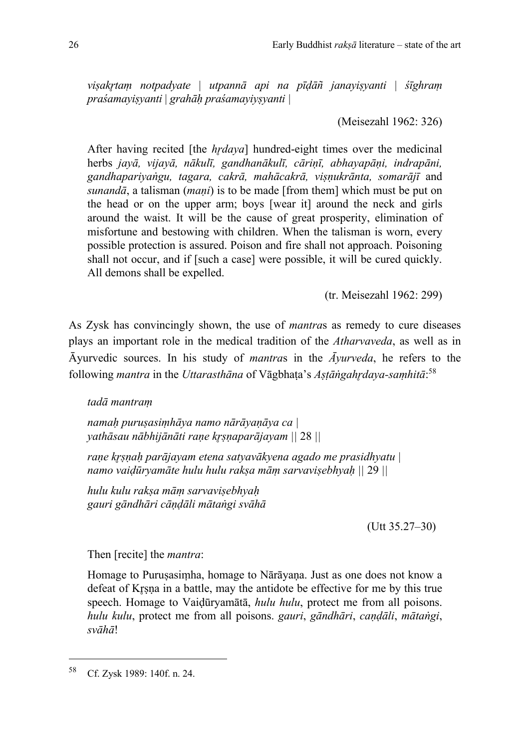*viṣakr̥taṃ notpadyate* | *utpannā api na pīḍāñ janayiṣyanti* | *śīghraṃ praśamayiṣyanti* | *grahāḥ praśamayiyṣyanti |* 

(Meisezahl 1962: 326)

After having recited [the *hrdaya*] hundred-eight times over the medicinal herbs *jayā, vijayā, nākulī, gandhanākulī, cāriṇī, abhayapāṇi, indrapāni, gandhapariyaṅgu, tagara, cakrā, mahācakrā, viṣṇukrānta, somarājī* and *sunandā*, a talisman (*maṇi*) is to be made [from them] which must be put on the head or on the upper arm; boys [wear it] around the neck and girls around the waist. It will be the cause of great prosperity, elimination of misfortune and bestowing with children. When the talisman is worn, every possible protection is assured. Poison and fire shall not approach. Poisoning shall not occur, and if [such a case] were possible, it will be cured quickly. All demons shall be expelled.

(tr. Meisezahl 1962: 299)

As Zysk has convincingly shown, the use of *mantra*s as remedy to cure diseases plays an important role in the medical tradition of the *Atharvaveda*, as well as in Āyurvedic sources. In his study of *mantra*s in the *Āyurveda*, he refers to the following *mantra* in the *Uttarasthāna* of Vāgbhaṭa's *Aṣṭāṅgahr̥daya-saṃhitā*: 58

*tadā mantraṃ*

*namaḥ puruṣasiṃhāya namo nārāyaṇāya ca | yathāsau nābhijānāti raṇe kr̥ṣṇaparājayam ||* 28 *||*

*raṇe kr̥ṣṇaḥ parājayam etena satyavākyena agado me prasidhyatu | namo vaiḍūryamāte hulu hulu rakṣa māṃ sarvaviṣebhyaḥ ||* 29 *||*

*hulu kulu rakṣa māṃ sarvaviṣebhyaḥ gauri gāndhāri cāṇḍāli mātaṅgi svāhā* 

 $($ Utt 35.27–30)

Then [recite] the *mantra*:

Homage to Puruṣasiṃha, homage to Nārāyaṇa. Just as one does not know a defeat of Kr̥ṣṇa in a battle, may the antidote be effective for me by this true speech. Homage to Vaiḍūryamātā, *hulu hulu*, protect me from all poisons. *hulu kulu*, protect me from all poisons. *gauri*, *gāndhāri*, *caṇḍāli*, *mātaṅgi*, *svāhā*!

<sup>58</sup> Cf. Zysk 1989: 140f. n. 24.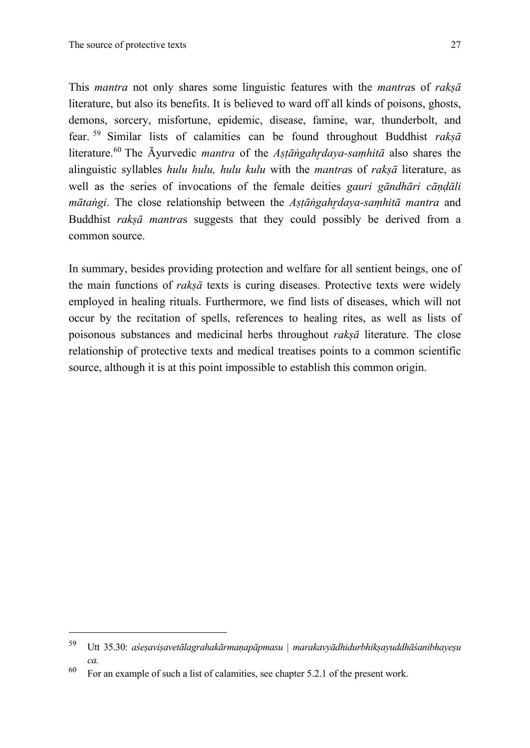This *mantra* not only shares some linguistic features with the *mantra*s of *rakṣā* literature, but also its benefits. It is believed to ward off all kinds of poisons, ghosts, demons, sorcery, misfortune, epidemic, disease, famine, war, thunderbolt, and fear. <sup>59</sup> Similar lists of calamities can be found throughout Buddhist *rakṣā*  literature.<sup>60</sup> The Āyurvedic *mantra* of the *Aṣṭāṅgahr̥daya-saṃhitā* also shares the alinguistic syllables *hulu hulu, hulu kulu* with the *mantra*s of *rakṣā* literature, as well as the series of invocations of the female deities *gauri gāndhāri cāṇḍāli mātaṅgi*. The close relationship between the *Aṣṭāṅgahr̥daya-saṃhitā mantra* and Buddhist *rakṣā mantra*s suggests that they could possibly be derived from a common source.

In summary, besides providing protection and welfare for all sentient beings, one of the main functions of *rakṣā* texts is curing diseases. Protective texts were widely employed in healing rituals. Furthermore, we find lists of diseases, which will not occur by the recitation of spells, references to healing rites, as well as lists of poisonous substances and medicinal herbs throughout *rakṣā* literature. The close relationship of protective texts and medical treatises points to a common scientific source, although it is at this point impossible to establish this common origin.

<sup>59</sup> Utt 35.30: *aśeṣaviṣavetālagrahakārmaṇapāpmasu* | *marakavyādhidurbhikṣayuddhāśanibhayeṣu ca.*

 $60$  For an example of such a list of calamities, see chapter 5.2.1 of the present work.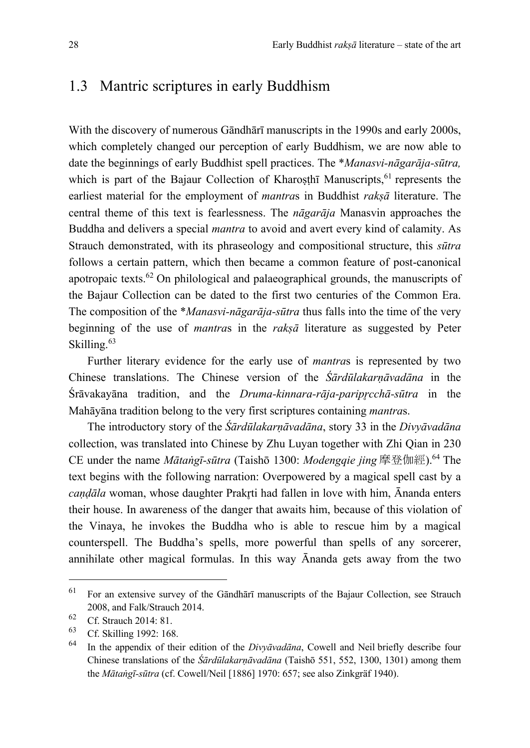### 1.3 Mantric scriptures in early Buddhism

With the discovery of numerous Gāndhārī manuscripts in the 1990s and early 2000s, which completely changed our perception of early Buddhism, we are now able to date the beginnings of early Buddhist spell practices. The \**Manasvi-nāgarāja-sūtra,* which is part of the Bajaur Collection of Kharosthī Manuscripts, $61$  represents the earliest material for the employment of *mantra*s in Buddhist *rakṣā* literature. The central theme of this text is fearlessness. The *nāgarāja* Manasvin approaches the Buddha and delivers a special *mantra* to avoid and avert every kind of calamity. As Strauch demonstrated, with its phraseology and compositional structure, this *sūtra* follows a certain pattern, which then became a common feature of post-canonical apotropaic texts.62 On philological and palaeographical grounds, the manuscripts of the Bajaur Collection can be dated to the first two centuries of the Common Era. The composition of the \**Manasvi-nāgarāja-sūtra* thus falls into the time of the very beginning of the use of *mantra*s in the *rakṣā* literature as suggested by Peter Skilling.<sup>63</sup>

Further literary evidence for the early use of *mantra*s is represented by two Chinese translations. The Chinese version of the *Śārdūlakarṇāvadāna* in the Śrāvakayāna tradition, and the *Druma-kinnara-rāja-paripr̥cchā-sūtra* in the Mahāyāna tradition belong to the very first scriptures containing *mantra*s.

The introductory story of the *Śārdūlakarṇāvadāna*, story 33 in the *Divyāvadāna* collection, was translated into Chinese by Zhu Luyan together with Zhi Qian in 230 CE under the name *Mātaṅgī-sūtra* (Taishō 1300: *Modengqie jing* 摩登伽經). <sup>64</sup> The text begins with the following narration: Overpowered by a magical spell cast by a *caṇḍāla* woman, whose daughter Prakr̥ti had fallen in love with him, Ānanda enters their house. In awareness of the danger that awaits him, because of this violation of the Vinaya, he invokes the Buddha who is able to rescue him by a magical counterspell. The Buddha's spells, more powerful than spells of any sorcerer, annihilate other magical formulas. In this way Ānanda gets away from the two

<sup>61</sup> For an extensive survey of the Gāndhārī manuscripts of the Bajaur Collection, see Strauch 2008, and Falk/Strauch 2014.

 $^{62}$  Cf. Strauch 2014: 81.

 $^{63}$  Cf. Skilling 1992: 168.

<sup>64</sup> In the appendix of their edition of the *Divyāvadāna*, Cowell and Neil briefly describe four Chinese translations of the *Śārdūlakarṇāvadāna* (Taishō 551, 552, 1300, 1301) among them the *Mātaṅgī-sūtra* (cf. Cowell/Neil [1886] 1970: 657; see also Zinkgräf 1940).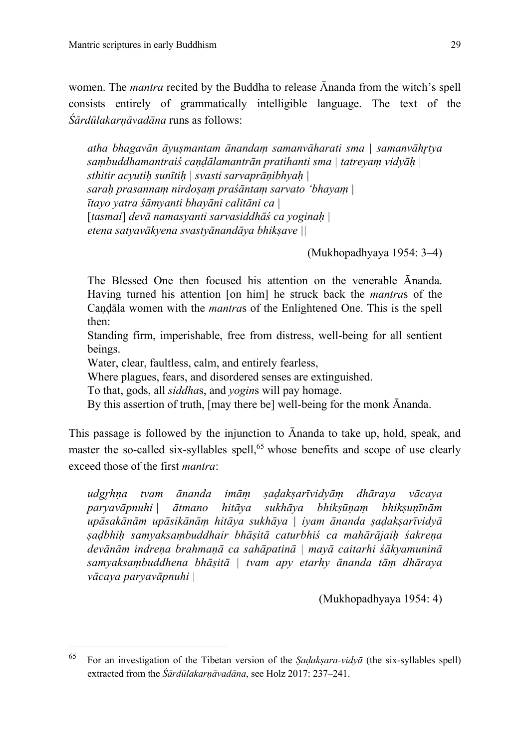women. The *mantra* recited by the Buddha to release Ānanda from the witch's spell consists entirely of grammatically intelligible language. The text of the *Śārdūlakarṇāvadāna* runs as follows:

*atha bhagavān āyuṣmantam ānandaṃ samanvāharati sma | samanvāhr̥tya saṃbuddhamantraiś caṇḍālamantrān pratihanti sma | tatreyaṃ vidyāḥ | sthitir acyutiḥ sunītiḥ | svasti sarvaprāṇibhyaḥ | saraḥ prasannaṃ nirdoṣaṃ praśāntaṃ sarvato 'bhayaṃ | ītayo yatra śāmyanti bhayāni calitāni ca |* [*tasmai*] *devā namasyanti sarvasiddhāś ca yoginaḥ | etena satyavākyena svastyānandāya bhikṣave ||*

(Mukhopadhyaya 1954: 3–4)

The Blessed One then focused his attention on the venerable Ānanda. Having turned his attention [on him] he struck back the *mantra*s of the Caṇḍāla women with the *mantra*s of the Enlightened One. This is the spell then:

Standing firm, imperishable, free from distress, well-being for all sentient beings.

Water, clear, faultless, calm, and entirely fearless,

Where plagues, fears, and disordered senses are extinguished.

To that, gods, all *siddha*s, and *yogin*s will pay homage.

By this assertion of truth, [may there be] well-being for the monk Ānanda.

This passage is followed by the injunction to Ānanda to take up, hold, speak, and master the so-called six-syllables spell,<sup>65</sup> whose benefits and scope of use clearly exceed those of the first *mantra*:

*udgr̥hṇa tvam ānanda imāṃ ṣaḍakṣarīvidyāṃ dhāraya vācaya paryavāpnuhi | ātmano hitāya sukhāya bhikṣūṇaṃ bhikṣuṇīnām upāsakānām upāsikānāṃ hitāya sukhāya | iyam ānanda ṣaḍakṣarīvidyā ṣaḍbhiḥ samyaksaṃbuddhair bhāṣitā caturbhiś ca mahārājaiḥ śakreṇa devānām indreṇa brahmaṇā ca sahāpatinā | mayā caitarhi śākyamuninā samyaksaṃbuddhena bhāṣitā | tvam apy etarhy ānanda tāṃ dhāraya vācaya paryavāpnuhi |* 

(Mukhopadhyaya 1954: 4)

<sup>65</sup> For an investigation of the Tibetan version of the *Ṣaḍakṣara-vidyā* (the six-syllables spell) extracted from the *Śārdūlakarṇāvadāna*, see Holz 2017: 237–241.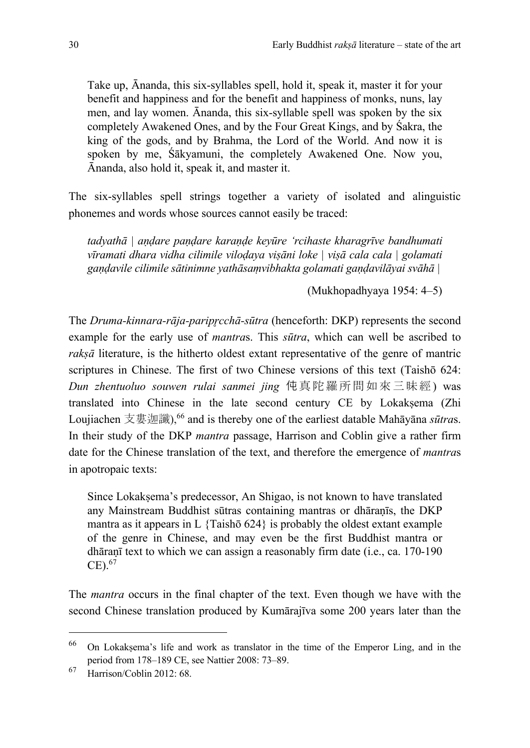Take up, Ānanda, this six-syllables spell, hold it, speak it, master it for your benefit and happiness and for the benefit and happiness of monks, nuns, lay men, and lay women. Ānanda, this six-syllable spell was spoken by the six completely Awakened Ones, and by the Four Great Kings, and by Śakra, the king of the gods, and by Brahma, the Lord of the World. And now it is spoken by me, Śākyamuni, the completely Awakened One. Now you, Ānanda, also hold it, speak it, and master it.

The six-syllables spell strings together a variety of isolated and alinguistic phonemes and words whose sources cannot easily be traced:

*tadyathā | aṇḍare paṇḍare karaṇḍe keyūre 'rcihaste kharagrīve bandhumati vīramati dhara vidha cilimile viloḍaya viṣāni loke | viṣā cala cala | golamati gaṇḍavile cilimile sātinimne yathāsaṃvibhakta golamati gaṇḍavilāyai svāhā |*

(Mukhopadhyaya 1954: 4–5)

The *Druma-kinnara-rāja-paripr̥cchā-sūtra* (henceforth: DKP) represents the second example for the early use of *mantra*s. This *sūtra*, which can well be ascribed to *rakṣā* literature, is the hitherto oldest extant representative of the genre of mantric scriptures in Chinese. The first of two Chinese versions of this text (Taishō 624: *Dun zhentuoluo souwen rulai sanmei jing* 伅真陀羅所問如來三昧經) was translated into Chinese in the late second century CE by Lokakṣema (Zhi Loujiachen 支婁迦讖),<sup>66</sup> and is thereby one of the earliest datable Mahāyāna *sūtras*. In their study of the DKP *mantra* passage, Harrison and Coblin give a rather firm date for the Chinese translation of the text, and therefore the emergence of *mantra*s in apotropaic texts:

Since Lokakṣema's predecessor, An Shigao, is not known to have translated any Mainstream Buddhist sūtras containing mantras or dhāraṇīs, the DKP mantra as it appears in L  $\{Taish\bar{o} 624\}$  is probably the oldest extant example of the genre in Chinese, and may even be the first Buddhist mantra or dhāraṇī text to which we can assign a reasonably firm date (i.e., ca. 170-190  $CE$ ).  $67$ 

The *mantra* occurs in the final chapter of the text. Even though we have with the second Chinese translation produced by Kumārajīva some 200 years later than the

<sup>66</sup> On Lokakṣema's life and work as translator in the time of the Emperor Ling, and in the period from 178–189 CE, see Nattier 2008: 73–89.

<sup>67</sup> Harrison/Coblin 2012: 68.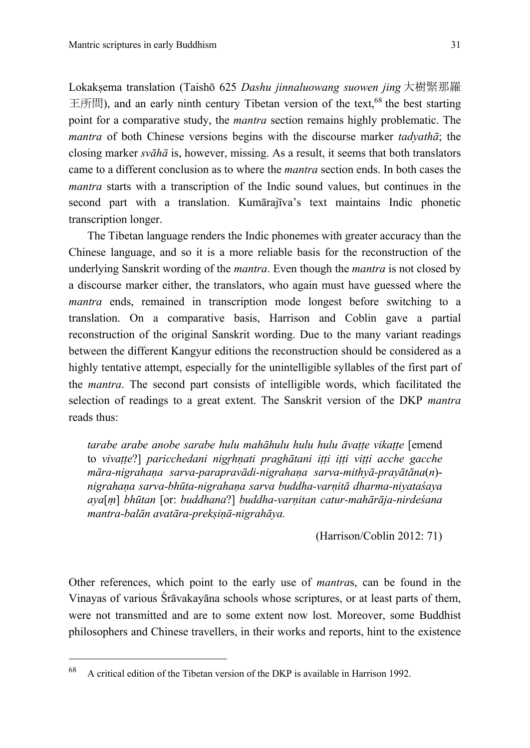Lokaksema translation (Taishō 625 *Dashu jinnaluowang suowen jing* 大樹緊那羅 王所問), and an early ninth century Tibetan version of the text, <sup>68</sup> the best starting point for a comparative study, the *mantra* section remains highly problematic. The *mantra* of both Chinese versions begins with the discourse marker *tadyathā*; the closing marker *svāhā* is, however, missing. As a result, it seems that both translators came to a different conclusion as to where the *mantra* section ends. In both cases the *mantra* starts with a transcription of the Indic sound values, but continues in the second part with a translation. Kumārajīva's text maintains Indic phonetic transcription longer.

The Tibetan language renders the Indic phonemes with greater accuracy than the Chinese language, and so it is a more reliable basis for the reconstruction of the underlying Sanskrit wording of the *mantra*. Even though the *mantra* is not closed by a discourse marker either, the translators, who again must have guessed where the *mantra* ends, remained in transcription mode longest before switching to a translation. On a comparative basis, Harrison and Coblin gave a partial reconstruction of the original Sanskrit wording. Due to the many variant readings between the different Kangyur editions the reconstruction should be considered as a highly tentative attempt, especially for the unintelligible syllables of the first part of the *mantra*. The second part consists of intelligible words, which facilitated the selection of readings to a great extent. The Sanskrit version of the DKP *mantra* reads thus:

*tarabe arabe anobe sarabe hulu mahāhulu hulu hulu āvaṭṭe vikaṭṭe* [emend to *vivaṭṭe*?] *paricchedani nigr̥hṇati praghātani iṭṭi iṭṭi viṭṭi acche gacche māra-nigrahaṇa sarva-parapravādi-nigrahaṇa sarva-mithyā-prayātāna*(*n*) *nigrahaṇa sarva-bhūta-nigrahaṇa sarva buddha-varṇitā dharma-niyataśaya aya*[*ṃ*] *bhūtan* [or: *buddhana*?] *buddha-varṇitan catur-mahārāja-nirdeśana mantra-balān avatāra-prekṣiṇā-nigrahāya.*

(Harrison/Coblin 2012: 71)

Other references, which point to the early use of *mantra*s, can be found in the Vinayas of various Śrāvakayāna schools whose scriptures, or at least parts of them, were not transmitted and are to some extent now lost. Moreover, some Buddhist philosophers and Chinese travellers, in their works and reports, hint to the existence

 $68$  A critical edition of the Tibetan version of the DKP is available in Harrison 1992.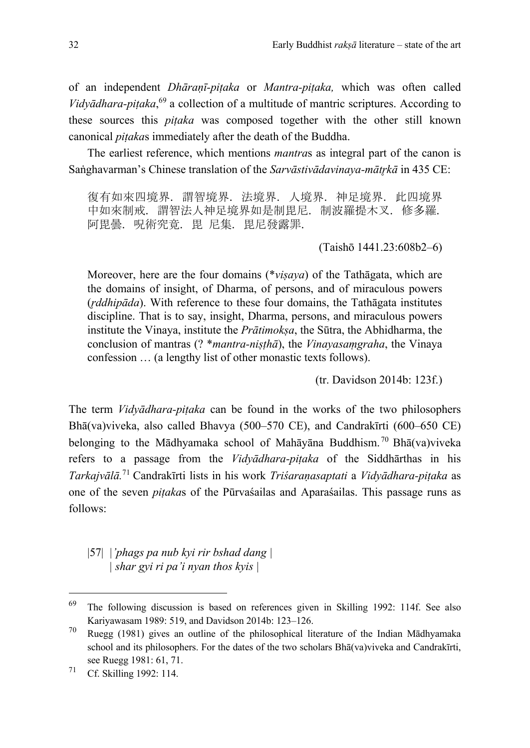of an independent *Dhāraṇī-piṭaka* or *Mantra-piṭaka,* which was often called *Vidyādhara-piṭaka*, <sup>69</sup> a collection of a multitude of mantric scriptures. According to these sources this *piṭaka* was composed together with the other still known canonical *piṭaka*s immediately after the death of the Buddha.

The earliest reference, which mentions *mantra*s as integral part of the canon is Saṅghavarman's Chinese translation of the *Sarvāstivādavinava-mātrkā* in 435 CE:

復有如來四境界. 謂智境界. 法境界. 人境界. 神足境界. 此四境界 中如來制戒. 謂智法人神足境界如是制毘尼. 制波羅提木叉. 修多羅. 阿毘曇. 呪術究竟. 毘 尼集. 毘尼發露罪.

(Taishō 1441.23:608b2–6)

Moreover, here are the four domains (\**viṣaya*) of the Tathāgata, which are the domains of insight, of Dharma, of persons, and of miraculous powers (*r̥ddhipāda*). With reference to these four domains, the Tathāgata institutes discipline. That is to say, insight, Dharma, persons, and miraculous powers institute the Vinaya, institute the *Prātimokṣa*, the Sūtra, the Abhidharma, the conclusion of mantras (? \**mantra-niṣṭhā*), the *Vinayasaṃgraha*, the Vinaya confession … (a lengthy list of other monastic texts follows).

(tr. Davidson 2014b: 123f.)

The term *Vidyādhara-piṭaka* can be found in the works of the two philosophers Bhā(va)viveka, also called Bhavya (500–570 CE), and Candrakīrti (600–650 CE) belonging to the Mādhyamaka school of Mahāyāna Buddhism. <sup>70</sup> Bhā(va)viveka refers to a passage from the *Vidyādhara-piṭaka* of the Siddhārthas in his *Tarkajvālā.* <sup>71</sup> Candrakīrti lists in his work *Triśaraṇasaptati* a *Vidyādhara-piṭaka* as one of the seven *piṭaka*s of the Pūrvaśailas and Aparaśailas. This passage runs as follows:

|57| *|'phags pa nub kyi rir bshad dang | | shar gyi ri pa'i nyan thos kyis |*

<sup>69</sup> The following discussion is based on references given in Skilling 1992: 114f. See also Kariyawasam 1989: 519, and Davidson 2014b: 123–126.

<sup>70</sup> Ruegg (1981) gives an outline of the philosophical literature of the Indian Mādhyamaka school and its philosophers. For the dates of the two scholars Bhā(va)viveka and Candrakīrti, see Ruegg 1981: 61, 71.

<sup>71</sup> Cf. Skilling 1992: 114.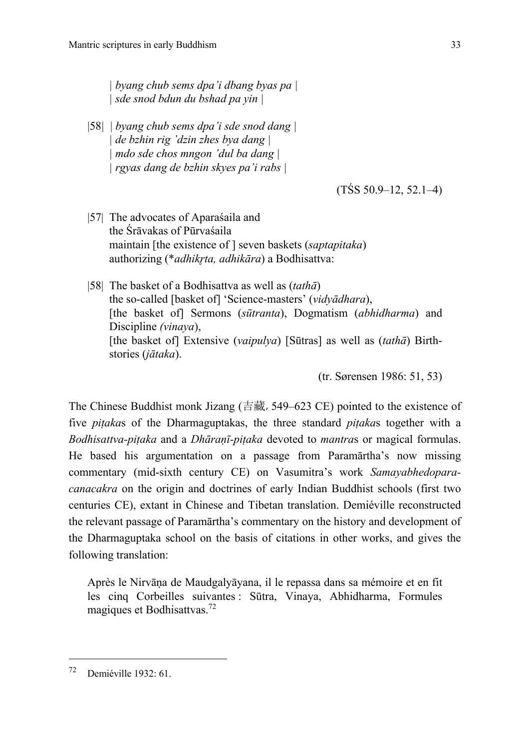*| byang chub sems dpa'i dbang byas pa | | sde snod bdun du bshad pa yin |*

|58*|* | *byang chub sems dpa'i sde snod dang | | de bzhin rig 'dzin zhes bya dang | | mdo sde chos mngon 'dul ba dang | | rgyas dang de bzhin skyes pa'i rabs |*

(TŚS 50.9–12, 52.1–4)

- |57| The advocates of Aparaśaila and the Śrāvakas of Pūrvaśaila maintain [the existence of ] seven baskets (*saptapitaka*) authorizing (\**adhikrta, adhikāra*) a Bodhisattva:
- |58| The basket of a Bodhisattva as well as (*tathā*) the so-called [basket of] 'Science-masters' (*vidyādhara*), [the basket of] Sermons (*sūtranta*), Dogmatism (*abhidharma*) and Discipline *(vinaya*), [the basket of] Extensive (*vaipulya*) [Sūtras] as well as (*tathā*) Birthstories (*jātaka*).

(tr. Sørensen 1986: 51, 53)

The Chinese Buddhist monk Jizang (吉藏, 549–623 CE) pointed to the existence of five *piṭaka*s of the Dharmaguptakas, the three standard *piṭaka*s together with a *Bodhisattva-piṭaka* and a *Dhāraṇī-piṭaka* devoted to *mantra*s or magical formulas. He based his argumentation on a passage from Paramārtha's now missing commentary (mid-sixth century CE) on Vasumitra's work *Samayabhedoparacanacakra* on the origin and doctrines of early Indian Buddhist schools (first two centuries CE), extant in Chinese and Tibetan translation. Demiéville reconstructed the relevant passage of Paramārtha's commentary on the history and development of the Dharmaguptaka school on the basis of citations in other works, and gives the following translation:

Après le Nirvāṇa de Maudgalyāyana, il le repassa dans sa mémoire et en fit les cinq Corbeilles suivantes : Sūtra, Vinaya, Abhidharma, Formules magiques et Bodhisattvas.<sup>72</sup>

<sup>72</sup> Demiéville 1932: 61.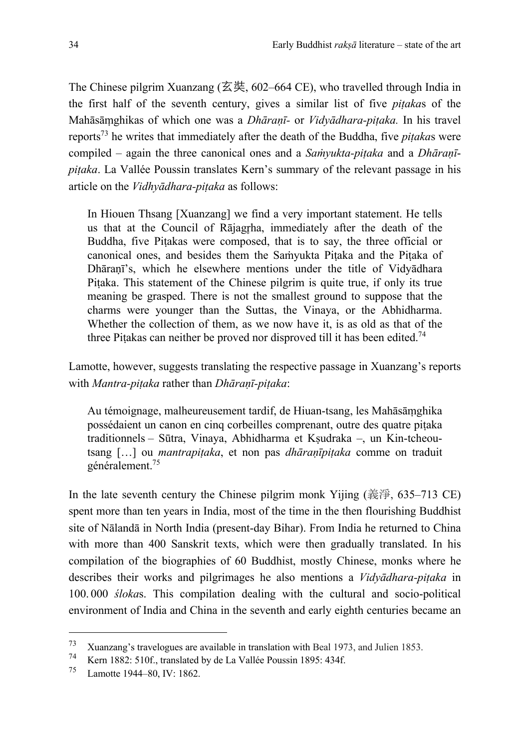The Chinese pilgrim Xuanzang (玄奘, 602–664 CE), who travelled through India in the first half of the seventh century, gives a similar list of five *piṭaka*s of the Mahāsāṃghikas of which one was a *Dhāraṇī-* or *Vidyādhara-piṭaka.* In his travel reports73 he writes that immediately after the death of the Buddha, five *piṭaka*s were compiled – again the three canonical ones and a *Saṁyukta-piṭaka* and a *Dhāraṇīpiṭaka*. La Vallée Poussin translates Kern's summary of the relevant passage in his article on the *Vidhyādhara-piṭaka* as follows:

In Hiouen Thsang [Xuanzang] we find a very important statement. He tells us that at the Council of Rājagrha, immediately after the death of the Buddha, five Piṭakas were composed, that is to say, the three official or canonical ones, and besides them the Saṁyukta Piṭaka and the Piṭaka of Dhāraṇī's, which he elsewhere mentions under the title of Vidyādhara Piṭaka. This statement of the Chinese pilgrim is quite true, if only its true meaning be grasped. There is not the smallest ground to suppose that the charms were younger than the Suttas, the Vinaya, or the Abhidharma. Whether the collection of them, as we now have it, is as old as that of the three Piṭakas can neither be proved nor disproved till it has been edited.<sup>74</sup>

Lamotte, however, suggests translating the respective passage in Xuanzang's reports with *Mantra-piṭaka* rather than *Dhāraṇī-piṭaka*:

Au témoignage, malheureusement tardif, de Hiuan-tsang, les Mahāsāṃghika possédaient un canon en cinq corbeilles comprenant, outre des quatre piṭaka traditionnels – Sūtra, Vinaya, Abhidharma et Kṣudraka –, un Kin-tcheoutsang […] ou *mantrapiṭaka*, et non pas *dhāraṇīpiṭaka* comme on traduit généralement. 75

In the late seventh century the Chinese pilgrim monk Yijing (義淨, 635–713 CE) spent more than ten years in India, most of the time in the then flourishing Buddhist site of Nālandā in North India (present-day Bihar). From India he returned to China with more than 400 Sanskrit texts, which were then gradually translated. In his compilation of the biographies of 60 Buddhist, mostly Chinese, monks where he describes their works and pilgrimages he also mentions a *Vidyādhara-piṭaka* in 100. 000 *śloka*s. This compilation dealing with the cultural and socio-political environment of India and China in the seventh and early eighth centuries became an

 $^{73}$  Xuanzang's travelogues are available in translation with Beal 1973, and Julien 1853.<br> $^{74}$  Kem 1892, 5106 translated lay de Le Vellée Bergein 1805, 4246.

<sup>&</sup>lt;sup>74</sup> Kern 1882: 510f., translated by de La Vallée Poussin 1895: 434f.<br><sup>75</sup> Lamette 1944, 80, IV: 1862

Lamotte 1944–80, IV: 1862.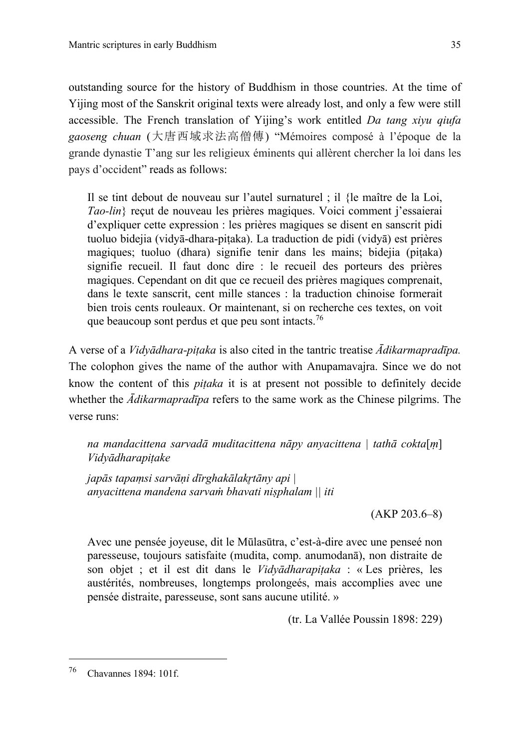outstanding source for the history of Buddhism in those countries. At the time of Yijing most of the Sanskrit original texts were already lost, and only a few were still accessible. The French translation of Yijing's work entitled *Da tang xiyu qiufa gaoseng chuan* (大唐西域求法高僧傳) "Mémoires composé à l'époque de la grande dynastie T'ang sur les religieux éminents qui allèrent chercher la loi dans les pays d'occident" reads as follows:

Il se tint debout de nouveau sur l'autel surnaturel ; il {le maître de la Loi, *Tao-lin*} reçut de nouveau les prières magiques. Voici comment j'essaierai d'expliquer cette expression : les prières magiques se disent en sanscrit pidi tuoluo bidejia (vidyā-dhara-piṭaka). La traduction de pidi (vidyā) est prières magiques; tuoluo (dhara) signifie tenir dans les mains; bidejia (piṭaka) signifie recueil. Il faut donc dire : le recueil des porteurs des prières magiques. Cependant on dit que ce recueil des prières magiques comprenait, dans le texte sanscrit, cent mille stances : la traduction chinoise formerait bien trois cents rouleaux. Or maintenant, si on recherche ces textes, on voit que beaucoup sont perdus et que peu sont intacts.<sup>76</sup>

A verse of a *Vidyādhara-piṭaka* is also cited in the tantric treatise *Ādikarmapradīpa.*  The colophon gives the name of the author with Anupamavajra. Since we do not know the content of this *piṭaka* it is at present not possible to definitely decide whether the *Ādikarmapradīpa* refers to the same work as the Chinese pilgrims. The verse runs:

*na mandacittena sarvadā muditacittena nāpy anyacittena | tathā cokta*[*ṃ*] *Vidyādharapiṭake* 

*japās tapaṃsi sarvāṇi dīrghakālakr̥tāny api | anyacittena mandena sarvaṁ bhavati niṣphalam || iti*

(AKP 203.6–8)

Avec une pensée joyeuse, dit le Mūlasūtra, c'est-à-dire avec une penseé non paresseuse, toujours satisfaite (mudita, comp. anumodanā), non distraite de son objet ; et il est dit dans le *Vidyādharapiṭaka* : « Les prières, les austérités, nombreuses, longtemps prolongeés, mais accomplies avec une pensée distraite, paresseuse, sont sans aucune utilité. »

(tr. La Vallée Poussin 1898: 229)

<sup>76</sup> Chavannes 1894: 101f.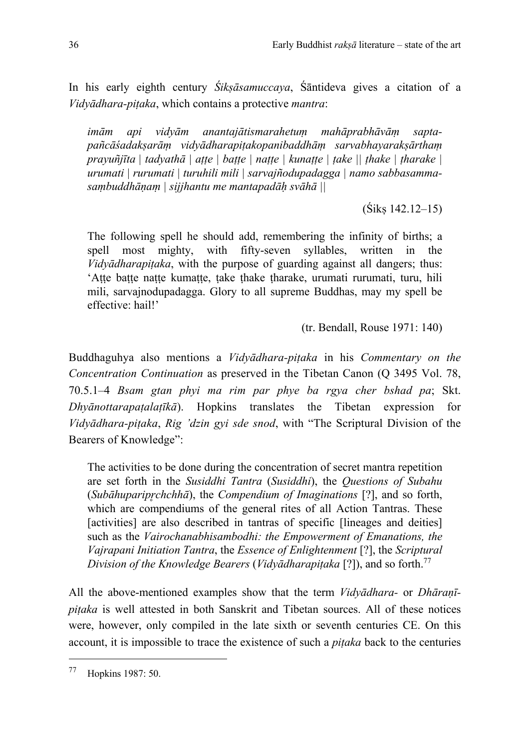In his early eighth century *Śikṣāsamuccaya*, Śāntideva gives a citation of a *Vidyādhara-piṭaka*, which contains a protective *mantra*:

*imām api vidyām anantajātismarahetuṃ mahāprabhāvāṃ saptapañcāśadakṣarāṃ vidyādharapiṭakopanibaddhāṃ sarvabhayarakṣārthaṃ prayuñjīta | tadyathā | aṭṭe | baṭṭe | naṭṭe | kunaṭṭe | ṭake || ṭhake | ṭharake | urumati | rurumati | turuhili mili | sarvajñodupadagga | namo sabbasammasaṃbuddhāṇaṃ | sijjhantu me mantapadāḥ svāhā ||*

 $(Siks 142.12 - 15)$ 

The following spell he should add, remembering the infinity of births; a spell most mighty, with fifty-seven syllables, written in the *Vidyādharapitaka*, with the purpose of guarding against all dangers; thus: 'Atte batte natte kumatte, take thake tharake, urumati rurumati, turu, hili mili, sarvajnodupadagga. Glory to all supreme Buddhas, may my spell be effective: hail!'

(tr. Bendall, Rouse 1971: 140)

Buddhaguhya also mentions a *Vidyādhara-piṭaka* in his *Commentary on the Concentration Continuation* as preserved in the Tibetan Canon (Q 3495 Vol. 78, 70.5.1–4 *Bsam gtan phyi ma rim par phye ba rgya cher bshad pa*; Skt. *Dhyānottarapaṭalaṭīkā*). Hopkins translates the Tibetan expression for *Vidyādhara-piṭaka*, *Rig 'dzin gyi sde snod*, with "The Scriptural Division of the Bearers of Knowledge":

The activities to be done during the concentration of secret mantra repetition are set forth in the *Susiddhi Tantra* (*Susiddhi*), the *Questions of Subahu* (*Subāhuparipr̥chchhā*), the *Compendium of Imaginations* [?], and so forth, which are compendiums of the general rites of all Action Tantras. These [activities] are also described in tantras of specific [lineages and deities] such as the *Vairochanabhisambodhi: the Empowerment of Emanations, the Vajrapani Initiation Tantra*, the *Essence of Enlightenment* [?], the *Scriptural Division of the Knowledge Bearers* (*Vidyādharapiṭaka* [?]), and so forth.77

All the above-mentioned examples show that the term *Vidyādhara-* or *Dhāraṇīpiṭaka* is well attested in both Sanskrit and Tibetan sources. All of these notices were, however, only compiled in the late sixth or seventh centuries CE. On this account, it is impossible to trace the existence of such a *piṭaka* back to the centuries

<sup>77</sup> Hopkins 1987: 50.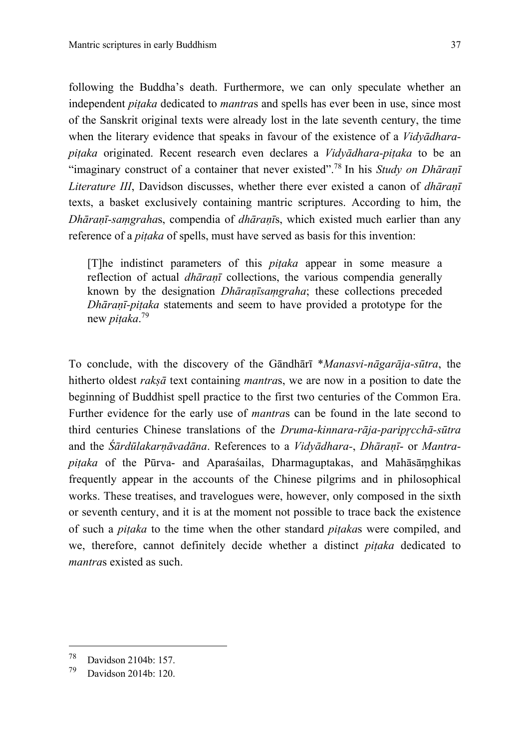following the Buddha's death. Furthermore, we can only speculate whether an independent *piṭaka* dedicated to *mantra*s and spells has ever been in use, since most of the Sanskrit original texts were already lost in the late seventh century, the time when the literary evidence that speaks in favour of the existence of a *Vidyādharapiṭaka* originated. Recent research even declares a *Vidyādhara-piṭaka* to be an "imaginary construct of a container that never existed".78 In his *Study on Dhāraṇī Literature III*, Davidson discusses, whether there ever existed a canon of *dhāraṇī* texts, a basket exclusively containing mantric scriptures. According to him, the *Dhāraṇī-saṃgraha*s, compendia of *dhāraṇī*s, which existed much earlier than any reference of a *piṭaka* of spells, must have served as basis for this invention:

[T]he indistinct parameters of this *piṭaka* appear in some measure a reflection of actual *dhāraṇī* collections, the various compendia generally known by the designation *Dhāraṇīsaṃgraha*; these collections preceded *Dhāraṇī-piṭaka* statements and seem to have provided a prototype for the new *piṭaka*. 79

To conclude, with the discovery of the Gāndhārī \**Manasvi-nāgarāja-sūtra*, the hitherto oldest *rakṣā* text containing *mantra*s, we are now in a position to date the beginning of Buddhist spell practice to the first two centuries of the Common Era. Further evidence for the early use of *mantra*s can be found in the late second to third centuries Chinese translations of the *Druma-kinnara-rāja-paripr̥cchā-sūtra* and the *Śārdūlakarṇāvadāna*. References to a *Vidyādhara-*, *Dhāraṇī*- or *Mantrapiṭaka* of the Pūrva- and Aparaśailas, Dharmaguptakas, and Mahāsāṃghikas frequently appear in the accounts of the Chinese pilgrims and in philosophical works. These treatises, and travelogues were, however, only composed in the sixth or seventh century, and it is at the moment not possible to trace back the existence of such a *piṭaka* to the time when the other standard *piṭaka*s were compiled, and we, therefore, cannot definitely decide whether a distinct *piṭaka* dedicated to *mantra*s existed as such.

 $^{78}$  Davidson 2104b: 157.

Davidson 2014b: 120.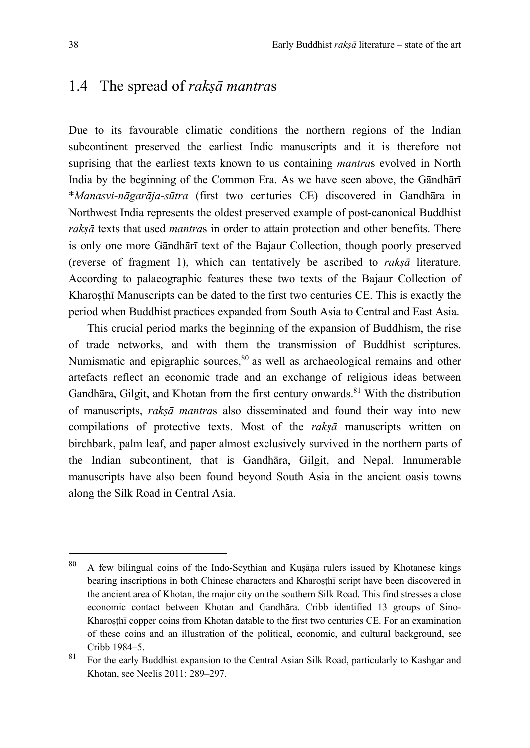## 1.4 The spread of *rakṣā mantra*s

Due to its favourable climatic conditions the northern regions of the Indian subcontinent preserved the earliest Indic manuscripts and it is therefore not suprising that the earliest texts known to us containing *mantra*s evolved in North India by the beginning of the Common Era. As we have seen above, the Gāndhārī \**Manasvi-nāgarāja-sūtra* (first two centuries CE) discovered in Gandhāra in Northwest India represents the oldest preserved example of post-canonical Buddhist *rakṣā* texts that used *mantra*s in order to attain protection and other benefits. There is only one more Gāndhārī text of the Bajaur Collection, though poorly preserved (reverse of fragment 1), which can tentatively be ascribed to *rakṣā* literature. According to palaeographic features these two texts of the Bajaur Collection of Kharosthī Manuscripts can be dated to the first two centuries CE. This is exactly the period when Buddhist practices expanded from South Asia to Central and East Asia.

This crucial period marks the beginning of the expansion of Buddhism, the rise of trade networks, and with them the transmission of Buddhist scriptures. Numismatic and epigraphic sources,  $80$  as well as archaeological remains and other artefacts reflect an economic trade and an exchange of religious ideas between Gandhāra, Gilgit, and Khotan from the first century onwards.<sup>81</sup> With the distribution of manuscripts, *rakṣā mantra*s also disseminated and found their way into new compilations of protective texts. Most of the *rakṣā* manuscripts written on birchbark, palm leaf, and paper almost exclusively survived in the northern parts of the Indian subcontinent, that is Gandhāra, Gilgit, and Nepal. Innumerable manuscripts have also been found beyond South Asia in the ancient oasis towns along the Silk Road in Central Asia.

<sup>80</sup> A few bilingual coins of the Indo-Scythian and Kuṣāṇa rulers issued by Khotanese kings bearing inscriptions in both Chinese characters and Kharoṣṭhī script have been discovered in the ancient area of Khotan, the major city on the southern Silk Road. This find stresses a close economic contact between Khotan and Gandhāra. Cribb identified 13 groups of Sino-Kharosthī copper coins from Khotan datable to the first two centuries CE. For an examination of these coins and an illustration of the political, economic, and cultural background, see Cribb 1984–5.

<sup>81</sup> For the early Buddhist expansion to the Central Asian Silk Road, particularly to Kashgar and Khotan, see Neelis 2011: 289–297.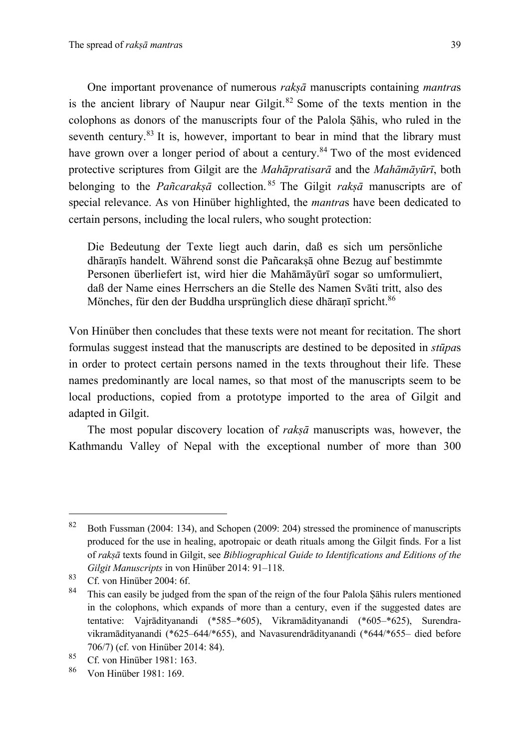One important provenance of numerous *rakṣā* manuscripts containing *mantra*s is the ancient library of Naupur near Gilgit. <sup>82</sup> Some of the texts mention in the colophons as donors of the manuscripts four of the Palola Ṣāhis, who ruled in the seventh century.<sup>83</sup> It is, however, important to bear in mind that the library must have grown over a longer period of about a century.<sup>84</sup> Two of the most evidenced protective scriptures from Gilgit are the *Mahāpratisarā* and the *Mahāmāyūrī*, both belonging to the *Pañcarakṣā* collection. <sup>85</sup> The Gilgit *rakṣā* manuscripts are of special relevance. As von Hinüber highlighted, the *mantra*s have been dedicated to certain persons, including the local rulers, who sought protection:

Die Bedeutung der Texte liegt auch darin, daß es sich um persönliche dhāraṇīs handelt. Während sonst die Pañcarakṣā ohne Bezug auf bestimmte Personen überliefert ist, wird hier die Mahāmāyūrī sogar so umformuliert, daß der Name eines Herrschers an die Stelle des Namen Svāti tritt, also des Mönches, für den der Buddha ursprünglich diese dhāraṇī spricht.<sup>86</sup>

Von Hinüber then concludes that these texts were not meant for recitation. The short formulas suggest instead that the manuscripts are destined to be deposited in *stūpa*s in order to protect certain persons named in the texts throughout their life. These names predominantly are local names, so that most of the manuscripts seem to be local productions, copied from a prototype imported to the area of Gilgit and adapted in Gilgit.

The most popular discovery location of *rakṣā* manuscripts was, however, the Kathmandu Valley of Nepal with the exceptional number of more than 300

<sup>82</sup> Both Fussman (2004: 134), and Schopen (2009: 204) stressed the prominence of manuscripts produced for the use in healing, apotropaic or death rituals among the Gilgit finds. For a list of *rakṣā* texts found in Gilgit, see *Bibliographical Guide to Identifications and Editions of the Gilgit Manuscripts* in von Hinüber 2014: 91–118.

 $83$  Cf. von Hinüber 2004: 6f.

This can easily be judged from the span of the reign of the four Palola Şāhis rulers mentioned in the colophons, which expands of more than a century, even if the suggested dates are tentative: Vajrādityanandi (\*585–\*605), Vikramādityanandi (\*605–\*625), Surendravikramādityanandi (\*625–644/\*655), and Navasurendrādityanandi (\*644/\*655– died before 706/7) (cf. von Hinüber 2014: 84).

<sup>85</sup> Cf. von Hinüber 1981: 163.<br>86 Von Hinüber 1981: 169.

<sup>86</sup> Von Hinüber 1981: 169.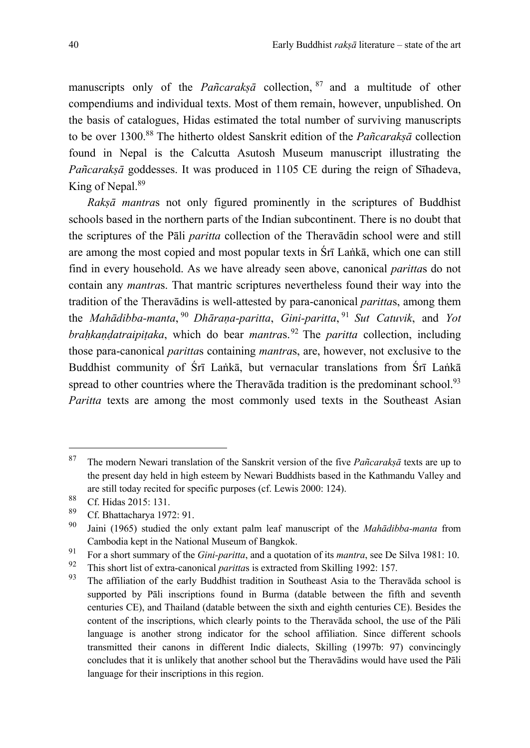manuscripts only of the *Pañcaraksā* collection, <sup>87</sup> and a multitude of other compendiums and individual texts. Most of them remain, however, unpublished. On the basis of catalogues, Hidas estimated the total number of surviving manuscripts to be over 1300.<sup>88</sup> The hitherto oldest Sanskrit edition of the *Pañcarakṣā* collection found in Nepal is the Calcutta Asutosh Museum manuscript illustrating the *Pañcarakṣā* goddesses. It was produced in 1105 CE during the reign of Sīhadeva, King of Nepal.<sup>89</sup>

*Rakṣā mantra*s not only figured prominently in the scriptures of Buddhist schools based in the northern parts of the Indian subcontinent. There is no doubt that the scriptures of the Pāli *paritta* collection of the Theravādin school were and still are among the most copied and most popular texts in Śrī Laṅkā, which one can still find in every household. As we have already seen above, canonical *paritta*s do not contain any *mantra*s. That mantric scriptures nevertheless found their way into the tradition of the Theravādins is well-attested by para-canonical *paritta*s, among them the *Mahādibba-manta*, <sup>90</sup> *Dhāraṇa-paritta*, *Gini-paritta*, <sup>91</sup> *Sut Catuvik*, and *Yot brahkandatraipitaka*, which do bear *mantras*.<sup>92</sup> The *paritta* collection, including those para-canonical *paritta*s containing *mantra*s, are, however, not exclusive to the Buddhist community of Śrī Laṅkā, but vernacular translations from Śrī Laṅkā spread to other countries where the Theravada tradition is the predominant school.<sup>93</sup> *Paritta* texts are among the most commonly used texts in the Southeast Asian

<sup>87</sup> The modern Newari translation of the Sanskrit version of the five *Pañcarakṣā* texts are up to the present day held in high esteem by Newari Buddhists based in the Kathmandu Valley and are still today recited for specific purposes (cf. Lewis 2000: 124).

 $^{88}$  Cf. Hidas 2015: 131.

<sup>&</sup>lt;sup>89</sup> Cf. Bhattacharya 1972: 91.

<sup>90</sup> Jaini (1965) studied the only extant palm leaf manuscript of the *Mahādibba-manta* from Cambodia kept in the National Museum of Bangkok.

<sup>91</sup> For a short summary of the *Gini-paritta*, and a quotation of its *mantra*, see De Silva 1981: 10.

<sup>&</sup>lt;sup>92</sup> This short list of extra-canonical *parittas* is extracted from Skilling 1992: 157.<br><sup>93</sup> The efficience of the sanks Duddhist to disting in Sautheast, Asia to the Theo

The affiliation of the early Buddhist tradition in Southeast Asia to the Theravāda school is supported by Pāli inscriptions found in Burma (datable between the fifth and seventh centuries CE), and Thailand (datable between the sixth and eighth centuries CE). Besides the content of the inscriptions, which clearly points to the Theravāda school, the use of the Pāli language is another strong indicator for the school affiliation. Since different schools transmitted their canons in different Indic dialects, Skilling (1997b: 97) convincingly concludes that it is unlikely that another school but the Theravādins would have used the Pāli language for their inscriptions in this region.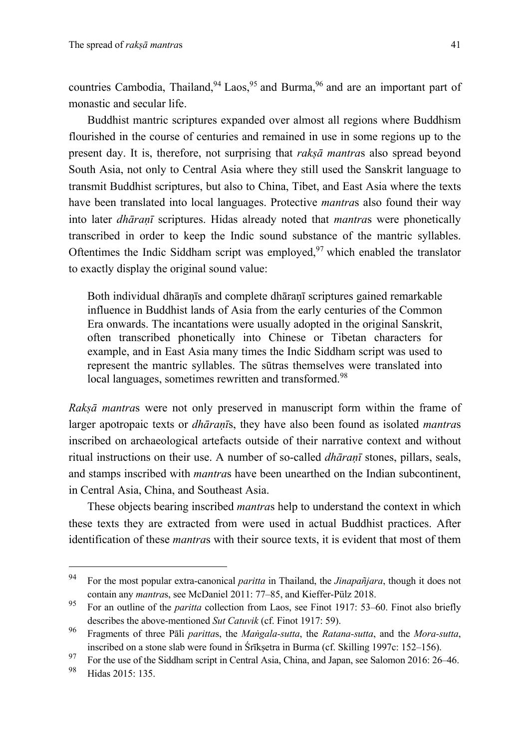countries Cambodia, Thailand, <sup>94</sup> Laos, <sup>95</sup> and Burma, <sup>96</sup> and are an important part of monastic and secular life.

Buddhist mantric scriptures expanded over almost all regions where Buddhism flourished in the course of centuries and remained in use in some regions up to the present day. It is, therefore, not surprising that *rakṣā mantra*s also spread beyond South Asia, not only to Central Asia where they still used the Sanskrit language to transmit Buddhist scriptures, but also to China, Tibet, and East Asia where the texts have been translated into local languages. Protective *mantra*s also found their way into later *dhāraṇī* scriptures. Hidas already noted that *mantra*s were phonetically transcribed in order to keep the Indic sound substance of the mantric syllables. Oftentimes the Indic Siddham script was employed,  $97$  which enabled the translator to exactly display the original sound value:

Both individual dhāraṇīs and complete dhāraṇī scriptures gained remarkable influence in Buddhist lands of Asia from the early centuries of the Common Era onwards. The incantations were usually adopted in the original Sanskrit, often transcribed phonetically into Chinese or Tibetan characters for example, and in East Asia many times the Indic Siddham script was used to represent the mantric syllables. The sūtras themselves were translated into local languages, sometimes rewritten and transformed.<sup>98</sup>

*Rakṣā mantra*s were not only preserved in manuscript form within the frame of larger apotropaic texts or *dhāraṇī*s, they have also been found as isolated *mantra*s inscribed on archaeological artefacts outside of their narrative context and without ritual instructions on their use. A number of so-called *dhāraṇī* stones, pillars, seals, and stamps inscribed with *mantra*s have been unearthed on the Indian subcontinent, in Central Asia, China, and Southeast Asia.

These objects bearing inscribed *mantra*s help to understand the context in which these texts they are extracted from were used in actual Buddhist practices. After identification of these *mantra*s with their source texts, it is evident that most of them

<sup>94</sup> For the most popular extra-canonical *paritta* in Thailand, the *Jinapañjara*, though it does not contain any *mantra*s, see McDaniel 2011: 77–85, and Kieffer-Pülz 2018.

<sup>95</sup> For an outline of the *paritta* collection from Laos, see Finot 1917: 53–60. Finot also briefly describes the above-mentioned *Sut Catuvik* (cf. Finot 1917: 59).

<sup>96</sup> Fragments of three Pāli *paritta*s, the *Maṅgala-sutta*, the *Ratana-sutta*, and the *Mora-sutta*, inscribed on a stone slab were found in Śrīkṣetra in Burma (cf. Skilling 1997c: 152–156).

<sup>&</sup>lt;sup>97</sup> For the use of the Siddham script in Central Asia, China, and Japan, see Salomon 2016:  $26-46$ .<br><sup>98</sup> U.J.  $2015:125$ 

Hidas 2015: 135.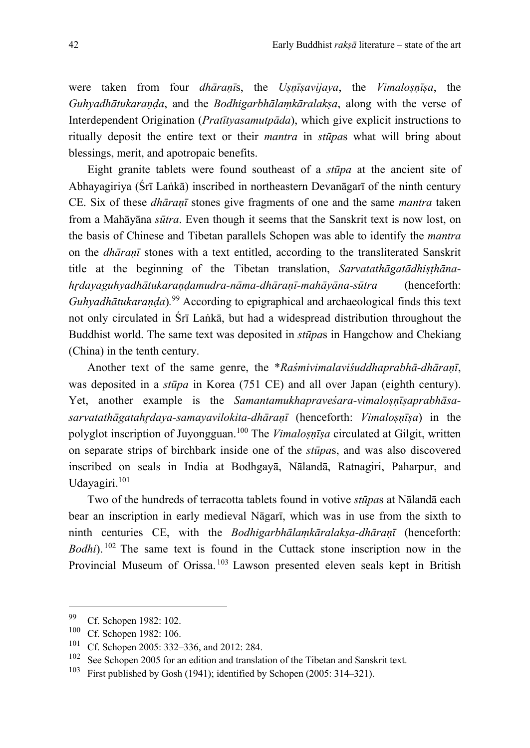were taken from four *dhāraṇī*s, the *Uṣṇīṣavijaya*, the *Vimaloṣṇīṣa*, the *Guhyadhātukaraṇḍa*, and the *Bodhigarbhālaṃkāralakṣa*, along with the verse of Interdependent Origination (*Pratītyasamutpāda*), which give explicit instructions to ritually deposit the entire text or their *mantra* in *stūpa*s what will bring about blessings, merit, and apotropaic benefits.

Eight granite tablets were found southeast of a *stūpa* at the ancient site of Abhayagiriya (Śrī Laṅkā) inscribed in northeastern Devanāgarī of the ninth century CE. Six of these *dhāraṇī* stones give fragments of one and the same *mantra* taken from a Mahāyāna *sūtra*. Even though it seems that the Sanskrit text is now lost, on the basis of Chinese and Tibetan parallels Schopen was able to identify the *mantra* on the *dhāraṇī* stones with a text entitled, according to the transliterated Sanskrit title at the beginning of the Tibetan translation, *Sarvatathāgatādhiṣṭhānahr̥dayaguhyadhātukaraṇḍamudra-nāma-dhāraṇī-mahāyāna-sūtra* (henceforth: *Guhyadhātukaraṇḍa*)*.* <sup>99</sup> According to epigraphical and archaeological finds this text not only circulated in Śrī Laṅkā, but had a widespread distribution throughout the Buddhist world. The same text was deposited in *stūpa*s in Hangchow and Chekiang (China) in the tenth century.

Another text of the same genre, the \**Raśmivimalaviśuddhaprabhā-dhāraṇī*, was deposited in a *stūpa* in Korea (751 CE) and all over Japan (eighth century). Yet, another example is the *Samantamukhapraveśara-vimalosnīsaprabhāsasarvatathāgatahr̥daya-samayavilokita-dhāraṇī* (henceforth: *Vimaloṣṇīṣa*) in the polyglot inscription of Juyongguan. <sup>100</sup> The *Vimaloṣṇīṣa* circulated at Gilgit, written on separate strips of birchbark inside one of the *stūpa*s, and was also discovered inscribed on seals in India at Bodhgayā, Nālandā, Ratnagiri, Paharpur, and Udayagiri.<sup>101</sup>

Two of the hundreds of terracotta tablets found in votive *stūpa*s at Nālandā each bear an inscription in early medieval Nāgarī, which was in use from the sixth to ninth centuries CE, with the *Bodhigarbhālaṃkāralakṣa-dhāraṇī* (henceforth: *Bodhi*). <sup>102</sup> The same text is found in the Cuttack stone inscription now in the Provincial Museum of Orissa.<sup>103</sup> Lawson presented eleven seals kept in British

 $^{99}$  Cf. Schopen 1982: 102.<br><sup>100</sup> Cf. Schopen 1982: 106

 $\frac{100}{101}$  Cf. Schopen 1982: 106.

<sup>&</sup>lt;sup>101</sup> Cf. Schopen 2005: 332–336, and 2012: 284.<br><sup>102</sup> See Schopen 2005 for an edition and translat

<sup>&</sup>lt;sup>102</sup> See Schopen 2005 for an edition and translation of the Tibetan and Sanskrit text.<br><sup>103</sup> Eiget published by Gosh (1041); identified by Schopen (2005; 314–321).

First published by Gosh (1941); identified by Schopen (2005: 314–321).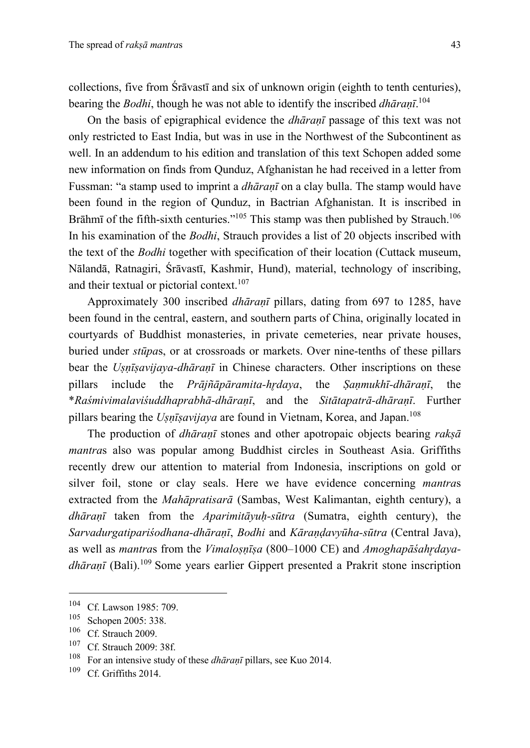collections, five from Śrāvastī and six of unknown origin (eighth to tenth centuries), bearing the *Bodhi*, though he was not able to identify the inscribed *dhāraṇī*. 104

On the basis of epigraphical evidence the *dhāraṇī* passage of this text was not only restricted to East India, but was in use in the Northwest of the Subcontinent as well. In an addendum to his edition and translation of this text Schopen added some new information on finds from Qunduz, Afghanistan he had received in a letter from Fussman: "a stamp used to imprint a *dhāraṇī* on a clay bulla. The stamp would have been found in the region of Qunduz, in Bactrian Afghanistan. It is inscribed in Brāhmī of the fifth-sixth centuries."<sup>105</sup> This stamp was then published by Strauch.<sup>106</sup> In his examination of the *Bodhi*, Strauch provides a list of 20 objects inscribed with the text of the *Bodhi* together with specification of their location (Cuttack museum, Nālandā, Ratnagiri, Śrāvastī, Kashmir, Hund), material, technology of inscribing, and their textual or pictorial context.<sup>107</sup>

Approximately 300 inscribed *dhāraṇī* pillars, dating from 697 to 1285, have been found in the central, eastern, and southern parts of China, originally located in courtyards of Buddhist monasteries, in private cemeteries, near private houses, buried under *stūpa*s, or at crossroads or markets. Over nine-tenths of these pillars bear the *Uṣṇīṣavijaya-dhāraṇī* in Chinese characters. Other inscriptions on these pillars include the *Prājñāpāramita-hr̥daya*, the *Ṣaṇmukhī-dhāraṇī*, the \**Raśmivimalaviśuddhaprabhā-dhāraṇī*, and the *Sitātapatrā-dhāraṇī*. Further pillars bearing the *Uṣṇīṣavijaya* are found in Vietnam, Korea, and Japan. 108

The production of *dhāraṇī* stones and other apotropaic objects bearing *rakṣā mantra*s also was popular among Buddhist circles in Southeast Asia. Griffiths recently drew our attention to material from Indonesia, inscriptions on gold or silver foil, stone or clay seals. Here we have evidence concerning *mantra*s extracted from the *Mahāpratisarā* (Sambas, West Kalimantan, eighth century), a *dhāraṇī* taken from the *Aparimitāyuḥ-sūtra* (Sumatra, eighth century), the *Sarvadurgatipariśodhana-dhāraṇī*, *Bodhi* and *Kāraṇḍavyūha-sūtra* (Central Java), as well as *mantra*s from the *Vimaloṣṇīṣa* (800–1000 CE) and *Amoghapāśahr̥dayadhāraṇī* (Bali).<sup>109</sup> Some years earlier Gippert presented a Prakrit stone inscription

 $^{104}$  Cf. Lawson 1985: 709.<br> $^{105}$  Sobonan 2005: 338

 $\frac{105}{106}$  Schopen 2005: 338.

 $\frac{106}{107}$  Cf. Strauch 2009.

 $\frac{107}{108}$  Cf. Strauch 2009: 38f.

<sup>&</sup>lt;sup>108</sup> For an intensive study of these *dhāraṇī* pillars, see Kuo 2014.

Cf. Griffiths 2014.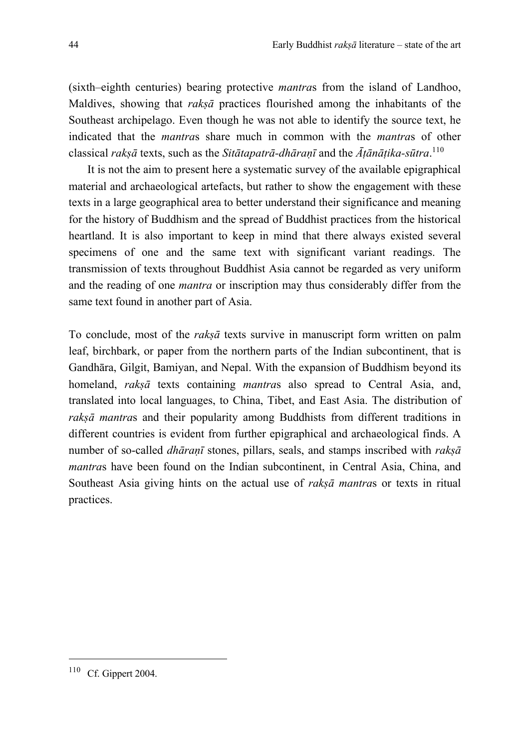(sixth–eighth centuries) bearing protective *mantra*s from the island of Landhoo, Maldives, showing that *rakṣā* practices flourished among the inhabitants of the Southeast archipelago. Even though he was not able to identify the source text, he indicated that the *mantra*s share much in common with the *mantra*s of other classical *rakṣā* texts, such as the *Sitātapatrā-dhāraṇī* and the *Āṭānāṭika-sūtra*. 110

It is not the aim to present here a systematic survey of the available epigraphical material and archaeological artefacts, but rather to show the engagement with these texts in a large geographical area to better understand their significance and meaning for the history of Buddhism and the spread of Buddhist practices from the historical heartland. It is also important to keep in mind that there always existed several specimens of one and the same text with significant variant readings. The transmission of texts throughout Buddhist Asia cannot be regarded as very uniform and the reading of one *mantra* or inscription may thus considerably differ from the same text found in another part of Asia.

To conclude, most of the *rakṣā* texts survive in manuscript form written on palm leaf, birchbark, or paper from the northern parts of the Indian subcontinent, that is Gandhāra, Gilgit, Bamiyan, and Nepal. With the expansion of Buddhism beyond its homeland, *rakṣā* texts containing *mantra*s also spread to Central Asia, and, translated into local languages, to China, Tibet, and East Asia. The distribution of *rakṣā mantra*s and their popularity among Buddhists from different traditions in different countries is evident from further epigraphical and archaeological finds. A number of so-called *dhāraṇī* stones, pillars, seals, and stamps inscribed with *rakṣā mantra*s have been found on the Indian subcontinent, in Central Asia, China, and Southeast Asia giving hints on the actual use of *rakṣā mantra*s or texts in ritual practices.

<sup>110</sup> Cf. Gippert 2004.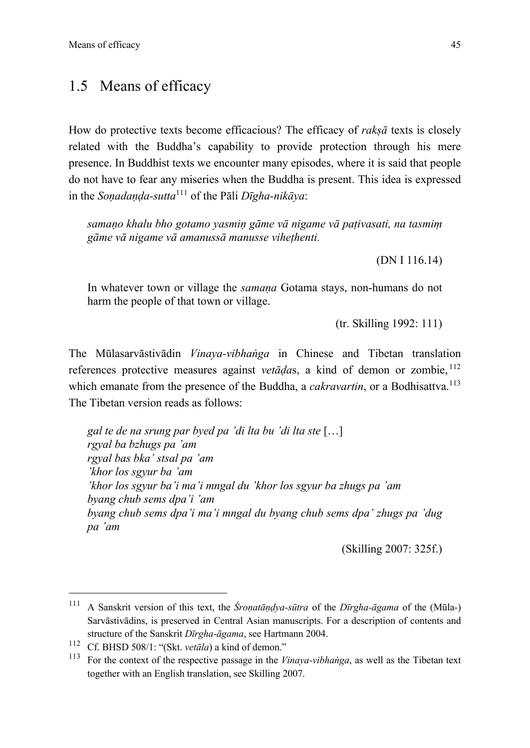# 1.5 Means of efficacy

How do protective texts become efficacious? The efficacy of *rakṣā* texts is closely related with the Buddha's capability to provide protection through his mere presence. In Buddhist texts we encounter many episodes, where it is said that people do not have to fear any miseries when the Buddha is present. This idea is expressed in the *Soṇadaṇḍa-sutta*<sup>111</sup> of the Pāli *Dīgha-nikāya*:

*samaṇo khalu bho gotamo yasmiṇ gāme vā nigame vā paṭivasati, na tasmiṃ gāme vā nigame vā amanussā manusse viheṭhenti.*

(DN I 116.14)

In whatever town or village the *samana* Gotama stays, non-humans do not harm the people of that town or village.

(tr. Skilling 1992: 111)

The Mūlasarvāstivādin *Vinaya-vibhaṅga* in Chinese and Tibetan translation references protective measures against *vetāḍa*s, a kind of demon or zombie, <sup>112</sup> which emanate from the presence of the Buddha, a *cakravartin*, or a Bodhisattva. 113 The Tibetan version reads as follows:

*gal te de na srung par byed pa 'di lta bu 'di lta ste* […] *rgyal ba bzhugs pa 'am rgyal bas bka' stsal pa 'am 'khor los sgyur ba 'am 'khor los sgyur ba'i ma'i mngal du 'khor los sgyur ba zhugs pa 'am byang chub sems dpa'i 'am byang chub sems dpa'i ma'i mngal du byang chub sems dpa' zhugs pa 'dug pa 'am*

(Skilling 2007: 325f.)

<sup>111</sup> A Sanskrit version of this text, the *Śroṇatāṇḍya-sūtra* of the *Dīrgha-āgama* of the (Mūla-) Sarvāstivādins, is preserved in Central Asian manuscripts. For a description of contents and structure of the Sanskrit *Dīrgha-āgama*, see Hartmann 2004.

<sup>112</sup> Cf. BHSD 508/1: "(Skt. *vetāla*) a kind of demon."

<sup>113</sup> For the context of the respective passage in the *Vinaya-vibhaṅga*, as well as the Tibetan text together with an English translation, see Skilling 2007.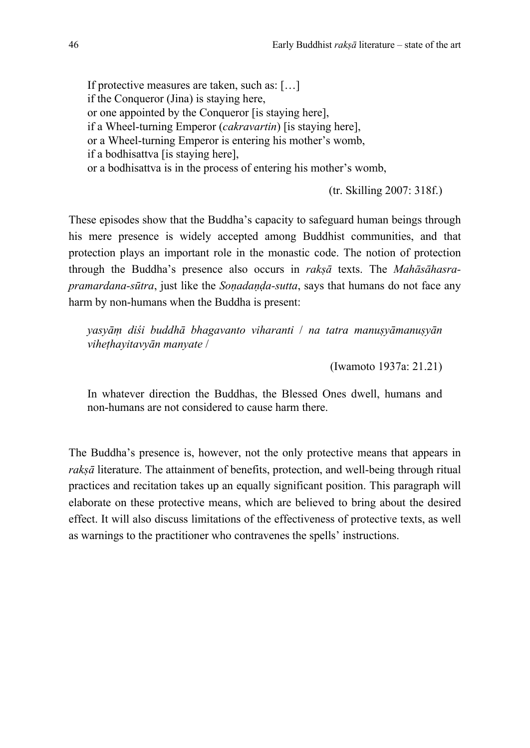If protective measures are taken, such as: […] if the Conqueror (Jina) is staying here, or one appointed by the Conqueror [is staying here], if a Wheel-turning Emperor (*cakravartin*) [is staying here], or a Wheel-turning Emperor is entering his mother's womb, if a bodhisattva [is staying here], or a bodhisattva is in the process of entering his mother's womb,

(tr. Skilling 2007: 318f.)

These episodes show that the Buddha's capacity to safeguard human beings through his mere presence is widely accepted among Buddhist communities, and that protection plays an important role in the monastic code. The notion of protection through the Buddha's presence also occurs in *rakṣā* texts. The *Mahāsāhasrapramardana-sūtra*, just like the *Soṇadaṇḍa-sutta*, says that humans do not face any harm by non-humans when the Buddha is present:

*yasyāṃ diśi buddhā bhagavanto viharanti* / *na tatra manuṣyāmanuṣyān viheṭhayitavyān manyate* /

(Iwamoto 1937a: 21.21)

In whatever direction the Buddhas, the Blessed Ones dwell, humans and non-humans are not considered to cause harm there.

The Buddha's presence is, however, not the only protective means that appears in *rakṣā* literature. The attainment of benefits, protection, and well-being through ritual practices and recitation takes up an equally significant position. This paragraph will elaborate on these protective means, which are believed to bring about the desired effect. It will also discuss limitations of the effectiveness of protective texts, as well as warnings to the practitioner who contravenes the spells' instructions.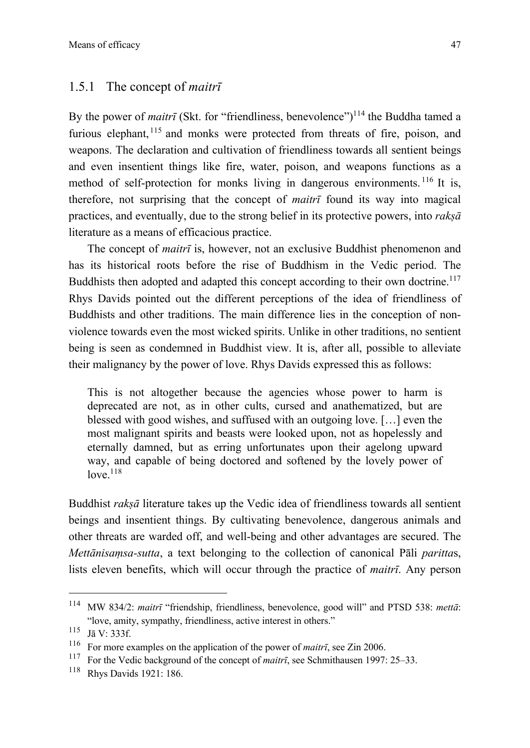#### 1.5.1 The concept of *maitrī*

By the power of *maitrī* (Skt. for "friendliness, benevolence")<sup>114</sup> the Buddha tamed a furious elephant, <sup>115</sup> and monks were protected from threats of fire, poison, and weapons. The declaration and cultivation of friendliness towards all sentient beings and even insentient things like fire, water, poison, and weapons functions as a method of self-protection for monks living in dangerous environments.<sup>116</sup> It is, therefore, not surprising that the concept of *maitrī* found its way into magical practices, and eventually, due to the strong belief in its protective powers, into *rakṣā*  literature as a means of efficacious practice.

The concept of *maitrī* is, however, not an exclusive Buddhist phenomenon and has its historical roots before the rise of Buddhism in the Vedic period. The Buddhists then adopted and adapted this concept according to their own doctrine.<sup>117</sup> Rhys Davids pointed out the different perceptions of the idea of friendliness of Buddhists and other traditions. The main difference lies in the conception of nonviolence towards even the most wicked spirits. Unlike in other traditions, no sentient being is seen as condemned in Buddhist view. It is, after all, possible to alleviate their malignancy by the power of love. Rhys Davids expressed this as follows:

This is not altogether because the agencies whose power to harm is deprecated are not, as in other cults, cursed and anathematized, but are blessed with good wishes, and suffused with an outgoing love. […] even the most malignant spirits and beasts were looked upon, not as hopelessly and eternally damned, but as erring unfortunates upon their agelong upward way, and capable of being doctored and softened by the lovely power of  $love.<sup>118</sup>$ 

Buddhist *rakṣā* literature takes up the Vedic idea of friendliness towards all sentient beings and insentient things. By cultivating benevolence, dangerous animals and other threats are warded off, and well-being and other advantages are secured. The *Mettānisaṃsa-sutta*, a text belonging to the collection of canonical Pāli *paritta*s, lists eleven benefits, which will occur through the practice of *maitrī*. Any person

<sup>114</sup> MW 834/2: *maitrī* "friendship, friendliness, benevolence, good will" and PTSD 538: *mettā*: "love, amity, sympathy, friendliness, active interest in others."

<sup>115</sup> Jā V: 333f.

<sup>&</sup>lt;sup>116</sup> For more examples on the application of the power of *maitrī*, see Zin 2006.<br><sup>117</sup> For the Vadio hackground of the concept of *maitrī*, see Schmithausen 1997:

<sup>117</sup> For the Vedic background of the concept of *maitrī*, see Schmithausen 1997: 25–33.

<sup>118</sup> Rhys Davids 1921: 186.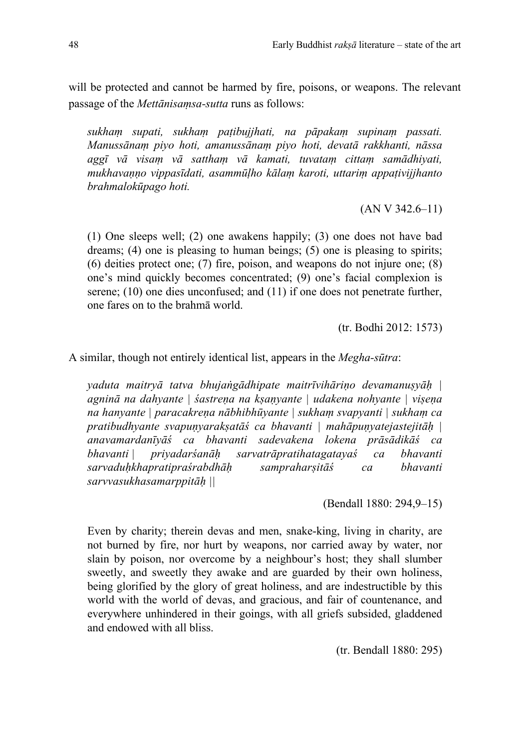will be protected and cannot be harmed by fire, poisons, or weapons. The relevant passage of the *Mettānisaṃsa-sutta* runs as follows:

*sukhaṃ supati, sukhaṃ paṭibujjhati, na pāpakaṃ supinaṃ passati. Manussānaṃ piyo hoti, amanussānaṃ piyo hoti, devatā rakkhanti, nāssa aggī vā visaṃ vā satthaṃ vā kamati, tuvataṃ cittaṃ samādhiyati, mukhavaṇṇo vippasīdati, asammūḷho kālaṃ karoti, uttariṃ appaṭivijjhanto brahmalokūpago hoti.*

(AN V 342.6–11)

(1) One sleeps well; (2) one awakens happily; (3) one does not have bad dreams; (4) one is pleasing to human beings; (5) one is pleasing to spirits; (6) deities protect one; (7) fire, poison, and weapons do not injure one; (8) one's mind quickly becomes concentrated; (9) one's facial complexion is serene; (10) one dies unconfused; and (11) if one does not penetrate further, one fares on to the brahmā world.

(tr. Bodhi 2012: 1573)

A similar, though not entirely identical list, appears in the *Megha-sūtra*:

*yaduta maitryā tatva bhujaṅgādhipate maitrīvihāriṇo devamanuṣyāḥ | agninā na dahyante | śastreṇa na kṣaṇyante | udakena nohyante | viṣeṇa na hanyante | paracakreṇa nābhibhūyante | sukhaṃ svapyanti | sukhaṃ ca pratibudhyante svapuṇyarakṣatāś ca bhavanti | mahāpuṇyatejastejitāḥ | anavamardanīyāś ca bhavanti sadevakena lokena prāsādikāś ca bhavanti | priyadarśanāḥ sarvatrāpratihatagatayaś ca bhavanti sarvaduḥkhapratipraśrabdhāḥ sampraharṣitāś ca bhavanti sarvvasukhasamarppitāḥ ||*

(Bendall 1880: 294,9–15)

Even by charity; therein devas and men, snake-king, living in charity, are not burned by fire, nor hurt by weapons, nor carried away by water, nor slain by poison, nor overcome by a neighbour's host; they shall slumber sweetly, and sweetly they awake and are guarded by their own holiness, being glorified by the glory of great holiness, and are indestructible by this world with the world of devas, and gracious, and fair of countenance, and everywhere unhindered in their goings, with all griefs subsided, gladdened and endowed with all bliss.

(tr. Bendall 1880: 295)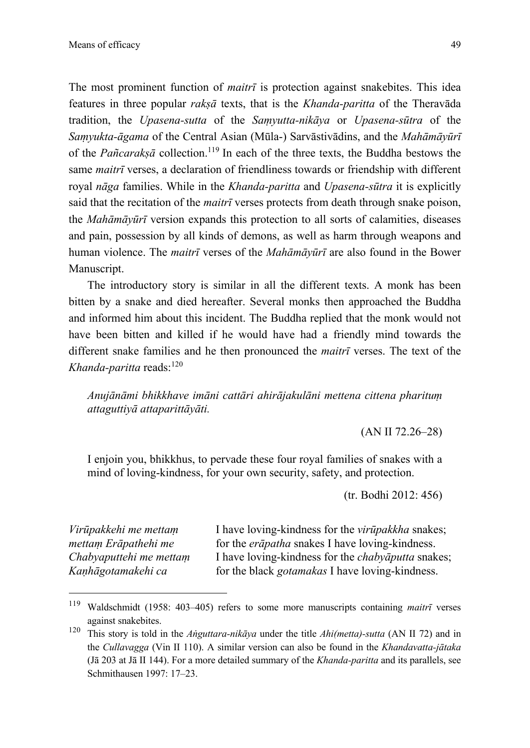The most prominent function of *maitrī* is protection against snakebites. This idea features in three popular *rakṣā* texts, that is the *Khanda-paritta* of the Theravāda tradition, the *Upasena-sutta* of the *Saṃyutta-nikāya* or *Upasena-sūtra* of the *Saṃyukta-āgama* of the Central Asian (Mūla-) Sarvāstivādins, and the *Mahāmāyūrī* of the *Pañcarakṣā* collection.119 In each of the three texts, the Buddha bestows the same *maitrī* verses, a declaration of friendliness towards or friendship with different royal *nāga* families. While in the *Khanda-paritta* and *Upasena-sūtra* it is explicitly said that the recitation of the *maitrī* verses protects from death through snake poison, the *Mahāmāyūrī* version expands this protection to all sorts of calamities, diseases and pain, possession by all kinds of demons, as well as harm through weapons and human violence. The *maitrī* verses of the *Mahāmāyūrī* are also found in the Bower Manuscript.

The introductory story is similar in all the different texts. A monk has been bitten by a snake and died hereafter. Several monks then approached the Buddha and informed him about this incident. The Buddha replied that the monk would not have been bitten and killed if he would have had a friendly mind towards the different snake families and he then pronounced the *maitrī* verses. The text of the *Khanda-paritta* reads:<sup>120</sup>

*Anujānāmi bhikkhave imāni cattāri ahirājakulāni mettena cittena pharituṃ attaguttiyā attaparittāyāti.*

(AN II 72.26–28)

I enjoin you, bhikkhus, to pervade these four royal families of snakes with a mind of loving-kindness, for your own security, safety, and protection.

(tr. Bodhi 2012: 456)

*Virūpakkehi me mettaṃ mettaṃ Erāpathehi me Chabyaputtehi me mettaṃ Kaṇhāgotamakehi ca* 

I have loving-kindness for the *virūpakkha* snakes; for the *erāpatha* snakes I have loving-kindness. I have loving-kindness for the *chabyāputta* snakes; for the black *gotamakas* I have loving-kindness.

<sup>119</sup> Waldschmidt (1958: 403–405) refers to some more manuscripts containing *maitrī* verses against snakebites.

<sup>120</sup> This story is told in the *Aṅguttara-nikāya* under the title *Ahi(metta)-sutta* (AN II 72) and in the *Cullavagga* (Vin II 110). A similar version can also be found in the *Khandavatta-jātaka* (Jā 203 at Jā II 144). For a more detailed summary of the *Khanda-paritta* and its parallels, see Schmithausen 1997: 17–23.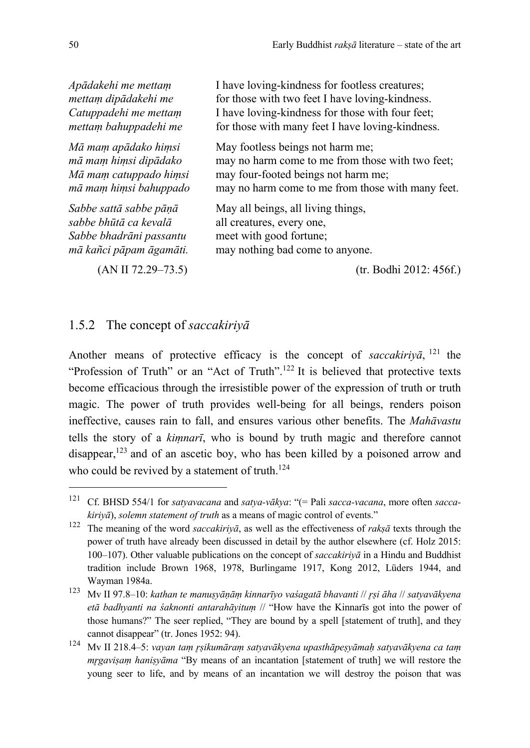| Apādakehi me mettam     | I have loving-kindness for footless creatures;    |
|-------------------------|---------------------------------------------------|
| mettam dipādakehi me    | for those with two feet I have loving-kindness.   |
| Catuppadehi me mettam   | I have loving-kindness for those with four feet;  |
| mettam bahuppadehi me   | for those with many feet I have loving-kindness.  |
| Mā mam apādako himsi    | May footless beings not harm me;                  |
| mā mam himsi dipādako   | may no harm come to me from those with two feet;  |
| Mā mam catuppado himsi  | may four-footed beings not harm me;               |
| mā mam himsi bahuppado  | may no harm come to me from those with many feet. |
| Sabbe sattā sabbe pāņā  | May all beings, all living things,                |
| sabbe bhūtā ca kevalā   | all creatures, every one,                         |
| Sabbe bhadrāni passantu | meet with good fortune;                           |
| mā kañci pāpam āgamāti. | may nothing bad come to anyone.                   |
| $(AN II 72.29 - 73.5)$  | (tr. Bodhi 2012: 456f.)                           |

1.5.2 The concept of *saccakiriyā*

Another means of protective efficacy is the concept of *saccakiriva*,  $^{121}$  the "Profession of Truth" or an "Act of Truth".<sup>122</sup> It is believed that protective texts become efficacious through the irresistible power of the expression of truth or truth magic. The power of truth provides well-being for all beings, renders poison ineffective, causes rain to fall, and ensures various other benefits. The *Mahāvastu* tells the story of a *kiṃnarī*, who is bound by truth magic and therefore cannot disappear, $123$  and of an ascetic boy, who has been killed by a poisoned arrow and who could be revived by a statement of truth.<sup>124</sup>

<sup>121</sup> Cf. BHSD 554/1 for *satyavacana* and *satya-vākya*: "(= Pali *sacca-vacana*, more often *saccakiriyā*), *solemn statement of truth* as a means of magic control of events."

<sup>122</sup> The meaning of the word *saccakiriyā*, as well as the effectiveness of *rakṣā* texts through the power of truth have already been discussed in detail by the author elsewhere (cf. Holz 2015: 100–107). Other valuable publications on the concept of *saccakiriyā* in a Hindu and Buddhist tradition include Brown 1968, 1978, Burlingame 1917, Kong 2012, Lüders 1944, and Wayman 1984a.

<sup>123</sup> Mv II 97.8–10: *kathan te manuṣyāṇāṃ kinnarīyo vaśagatā bhavanti* // *r̥ṣi āha* // *satyavākyena etā badhyanti na śaknonti antarahāyituṃ* // "How have the Kinnarīs got into the power of those humans?" The seer replied, "They are bound by a spell [statement of truth], and they cannot disappear" (tr. Jones 1952: 94).

<sup>124</sup> Mv II 218.4–5: *vayan taṃ r̥ṣikumāraṃ satyavākyena upasthāpeṣyāmaḥ satyavākyena ca taṃ mrgavisam hanisyāma* "By means of an incantation [statement of truth] we will restore the young seer to life, and by means of an incantation we will destroy the poison that was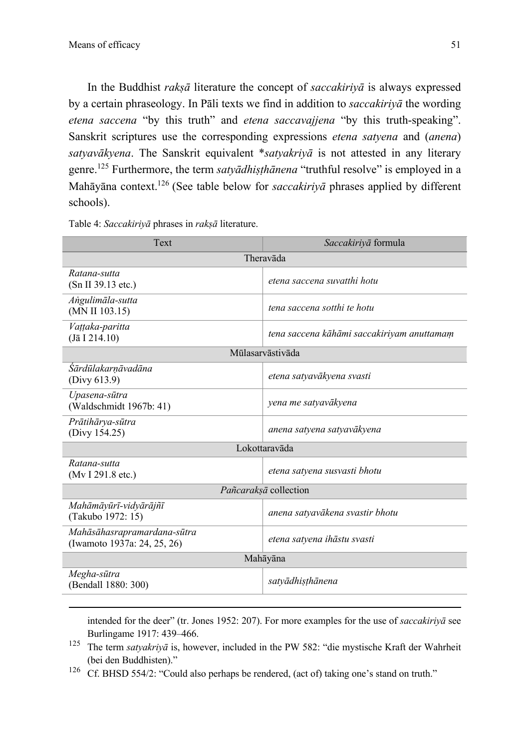In the Buddhist *rakṣā* literature the concept of *saccakiriyā* is always expressed by a certain phraseology. In Pāli texts we find in addition to *saccakiriyā* the wording *etena saccena* "by this truth" and *etena saccavajjena* "by this truth-speaking". Sanskrit scriptures use the corresponding expressions *etena satyena* and (*anena*) *satyavākyena*. The Sanskrit equivalent \**satyakriyā* is not attested in any literary genre.125 Furthermore, the term *satyādhiṣṭhānena* "truthful resolve" is employed in a Mahāyāna context.126 (See table below for *saccakiriyā* phrases applied by different schools).

Table 4: *Saccakiriyā* phrases in *rakṣā* literature.

| Text                                                       | Saccakiriyā formula                        |  |  |  |
|------------------------------------------------------------|--------------------------------------------|--|--|--|
| Theravāda                                                  |                                            |  |  |  |
| Ratana-sutta<br>(Sn II 39.13 etc.)                         | etena saccena suvatthi hotu                |  |  |  |
| Angulimāla-sutta<br>(MN II 103.15)                         | tena saccena sotthi te hotu                |  |  |  |
| Vattaka-paritta<br>$(J\bar{a} I 214.10)$                   | tena saccena kāhāmi saccakiriyam anuttamam |  |  |  |
| Mūlasarvāstivāda                                           |                                            |  |  |  |
| Sārdūlakarnāvadāna<br>(Divy 613.9)                         | etena satyavākyena svasti                  |  |  |  |
| Upasena-sūtra<br>(Waldschmidt 1967b: 41)                   | yena me satyavākyena                       |  |  |  |
| Prātihārya-sūtra<br>(Divy 154.25)                          | anena satyena satyavākyena                 |  |  |  |
| Lokottaravāda                                              |                                            |  |  |  |
| Ratana-sutta<br>(Mv I 291.8 etc.)                          | etena satyena susvasti bhotu               |  |  |  |
| Pañcarakṣā collection                                      |                                            |  |  |  |
| Mahāmāyūrī-vidyārājñī<br>(Takubo 1972: 15)                 | anena satyavākena svastir bhotu            |  |  |  |
| Mahāsāhasrapramardana-sūtra<br>(Iwamoto 1937a: 24, 25, 26) | etena satyena ihāstu svasti                |  |  |  |
| Mahāyāna                                                   |                                            |  |  |  |
| Megha-sūtra<br>(Bendall 1880: 300)                         | satyādhisthānena                           |  |  |  |

intended for the deer" (tr. Jones 1952: 207). For more examples for the use of *saccakiriyā* see Burlingame 1917: 439–466.

- <sup>125</sup> The term *satyakriyā* is, however, included in the PW 582: "die mystische Kraft der Wahrheit (bei den Buddhisten)."
- <sup>126</sup> Cf. BHSD 554/2: "Could also perhaps be rendered, (act of) taking one's stand on truth."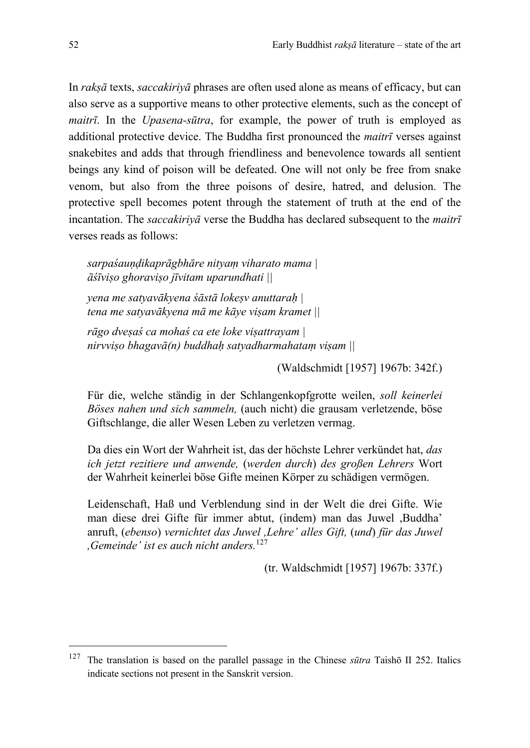In *rakṣā* texts, *saccakiriyā* phrases are often used alone as means of efficacy, but can also serve as a supportive means to other protective elements, such as the concept of *maitrī*. In the *Upasena-sūtra*, for example, the power of truth is employed as additional protective device. The Buddha first pronounced the *maitrī* verses against snakebites and adds that through friendliness and benevolence towards all sentient beings any kind of poison will be defeated. One will not only be free from snake venom, but also from the three poisons of desire, hatred, and delusion. The protective spell becomes potent through the statement of truth at the end of the incantation. The *saccakiriyā* verse the Buddha has declared subsequent to the *maitrī*  verses reads as follows:

*sarpaśauṇḍikaprāgbhāre nityaṃ viharato mama | āśīviṣo ghoraviṣo jīvitam uparundhati ||*

*yena me satyavākyena śāstā lokeṣv anuttaraḥ | tena me satyavākyena mā me kāye viṣam kramet ||*

*rāgo dveṣaś ca mohaś ca ete loke viṣattrayam | nirvviṣo bhagavā(n) buddhaḥ satyadharmahataṃ viṣam ||*

(Waldschmidt [1957] 1967b: 342f.)

Für die, welche ständig in der Schlangenkopfgrotte weilen, *soll keinerlei Böses nahen und sich sammeln,* (auch nicht) die grausam verletzende, böse Giftschlange, die aller Wesen Leben zu verletzen vermag.

Da dies ein Wort der Wahrheit ist, das der höchste Lehrer verkündet hat, *das ich jetzt rezitiere und anwende,* (*werden durch*) *des großen Lehrers* Wort der Wahrheit keinerlei böse Gifte meinen Körper zu schädigen vermögen.

Leidenschaft, Haß und Verblendung sind in der Welt die drei Gifte. Wie man diese drei Gifte für immer abtut, (indem) man das Juwel ,Buddha' anruft, (*ebenso*) *vernichtet das Juwel ,Lehre' alles Gift,* (*und*) *für das Juwel ,Gemeinde' ist es auch nicht anders.*<sup>127</sup>

(tr. Waldschmidt [1957] 1967b: 337f.)

<sup>127</sup> The translation is based on the parallel passage in the Chinese *sūtra* Taishō II 252. Italics indicate sections not present in the Sanskrit version.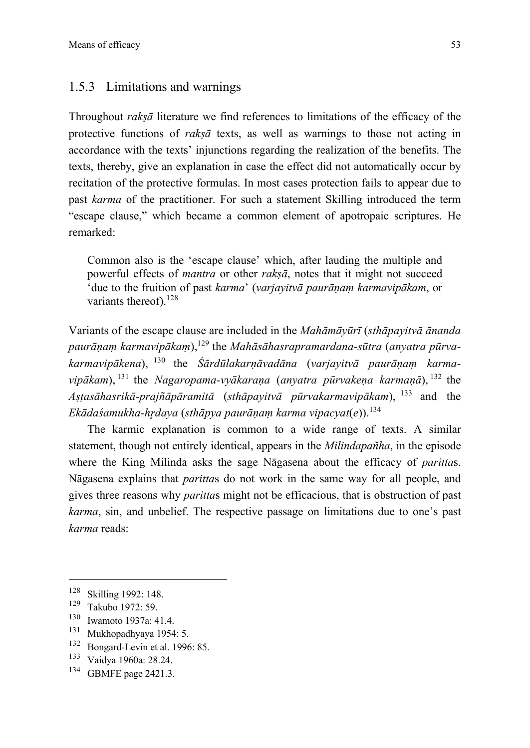#### 1.5.3 Limitations and warnings

Throughout *rakṣā* literature we find references to limitations of the efficacy of the protective functions of *rakṣā* texts, as well as warnings to those not acting in accordance with the texts' injunctions regarding the realization of the benefits. The texts, thereby, give an explanation in case the effect did not automatically occur by recitation of the protective formulas. In most cases protection fails to appear due to past *karma* of the practitioner. For such a statement Skilling introduced the term "escape clause," which became a common element of apotropaic scriptures. He remarked:

Common also is the 'escape clause' which, after lauding the multiple and powerful effects of *mantra* or other *rakṣā*, notes that it might not succeed 'due to the fruition of past *karma*' (*varjayitvā paurāṇaṃ karmavipākam*, or variants thereof).<sup>128</sup>

Variants of the escape clause are included in the *Mahāmāyūrī* (*sthāpayitvā ānanda paurāṇaṃ karmavipākaṃ*),<sup>129</sup> the *Mahāsāhasrapramardana-sūtra* (*anyatra pūrvakarmavipākena*), <sup>130</sup> the *Śārdūlakarṇāvadāna* (*varjayitvā paurāṇaṃ karmavipākam*), <sup>131</sup> the *Nagaropama-vyākaraṇa* (*anyatra pūrvakeṇa karmaṇā*), <sup>132</sup> the *Aṣṭasāhasrikā-prajñāpāramitā* (*sthāpayitvā pūrvakarmavipākam*), <sup>133</sup> and the *Ekādaśamukha-hr̥daya* (*sthāpya paurāṇaṃ karma vipacyat*(*e*)). 134

The karmic explanation is common to a wide range of texts. A similar statement, though not entirely identical, appears in the *Milindapañha*, in the episode where the King Milinda asks the sage Nāgasena about the efficacy of *paritta*s. Nāgasena explains that *paritta*s do not work in the same way for all people, and gives three reasons why *paritta*s might not be efficacious, that is obstruction of past *karma*, sin, and unbelief. The respective passage on limitations due to one's past *karma* reads:

- $\frac{130}{131}$  Iwamoto 1937a: 41.4.
- $131$  Mukhopadhyaya 1954: 5.<br> $132$  Bongard Levin et al. 1996
- $^{132}$  Bongard-Levin et al. 1996: 85.<br> $^{133}$  Voidsm 1060a: 28.24
- <sup>133</sup> Vaidya 1960a: 28.24.<br><sup>134</sup> GBMEE page 2421.3
- GBMFE page 2421.3.

 $\frac{128}{129}$  Skilling 1992: 148.

 $\frac{129}{130}$  Takubo 1972: 59.<br>130 Turquoto 1937a: 4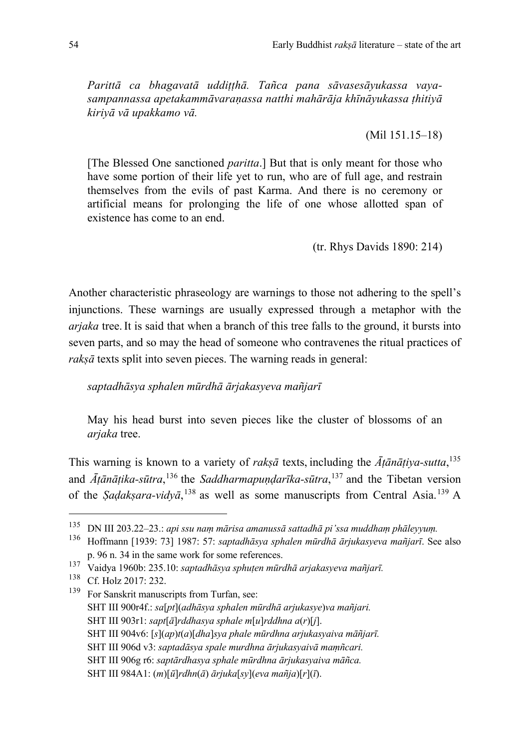*Parittā ca bhagavatā uddiṭṭhā. Tañca pana sāvasesāyukassa vayasampannassa apetakammāvaraṇassa natthi mahārāja khīnāyukassa ṭhitiyā kiriyā vā upakkamo vā.* 

(Mil 151.15–18)

[The Blessed One sanctioned *paritta*.] But that is only meant for those who have some portion of their life yet to run, who are of full age, and restrain themselves from the evils of past Karma. And there is no ceremony or artificial means for prolonging the life of one whose allotted span of existence has come to an end.

(tr. Rhys Davids 1890: 214)

Another characteristic phraseology are warnings to those not adhering to the spell's injunctions. These warnings are usually expressed through a metaphor with the *arjaka* tree.It is said that when a branch of this tree falls to the ground, it bursts into seven parts, and so may the head of someone who contravenes the ritual practices of *rakṣā* texts split into seven pieces. The warning reads in general:

#### *saptadhāsya sphalen mūrdhā ārjakasyeva mañjarī*

May his head burst into seven pieces like the cluster of blossoms of an *arjaka* tree.

This warning is known to a variety of *rakṣā* texts, including the *Āṭānāṭiya-sutta*, 135 and *Āṭānāṭika-sūtra*, <sup>136</sup> the *Saddharmapuṇḍarīka-sūtra*, <sup>137</sup> and the Tibetan version of the *Ṣaḍakṣara-vidyā*, <sup>138</sup> as well as some manuscripts from Central Asia. <sup>139</sup> A

<sup>135</sup> DN III 203.22–23.: *api ssu naṃ mārisa amanussā sattadhā pi'ssa muddhaṃ phāleyyuṃ.*

<sup>136</sup> Hoffmann [1939: 73] 1987: 57: *saptadhāsya sphalen mūrdhā ārjukasyeva mañjarī*. See also p. 96 n. 34 in the same work for some references.

<sup>137</sup> Vaidya 1960b: 235.10: *saptadhāsya sphuṭen mūrdhā arjakasyeva mañjarī.*

<sup>138</sup> Cf. Holz 2017: 232.

<sup>&</sup>lt;sup>139</sup> For Sanskrit manuscripts from Turfan, see: SHT III 900r4f.: *sa*[*pt*](*adhāsya sphalen mūrdhā arjukasye*)*va mañjari.* SHT III 903r1: *sapt*[*ā*]*rddhasya sphale m*[*u*]*rddhna a*(*r*)[*j*]. SHT III 904v6: [*s*](*ap*)*t*(*a*)[*dha*]*sya phale mūrdhna arjukasyaiva māñjarī.* SHT III 906d v3: *saptadāsya spale murdhna ārjukasyaivā maṃñcari.* SHT III 906g r6: *saptārdhasya sphale mūrdhna ārjukasyaiva māñca.* SHT III 984A1: (*m*)[*ū*]*rdhn*(*ā*) *ārjuka*[*sy*](*eva mañja*)[*r*](*ī*).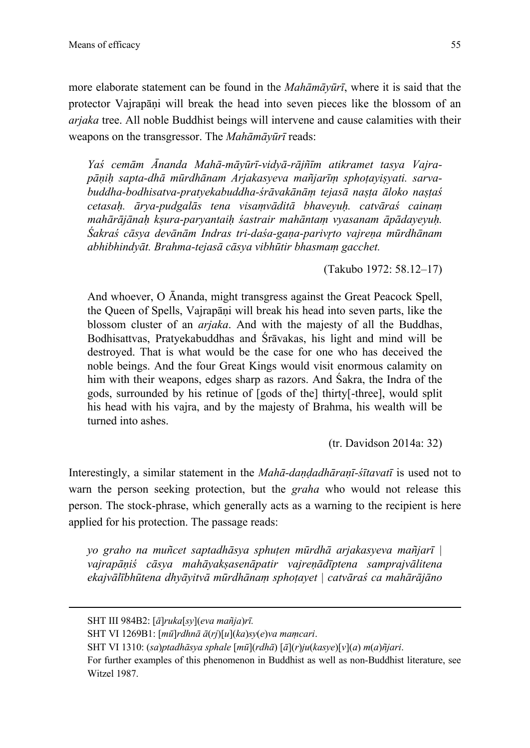more elaborate statement can be found in the *Mahāmāyūrī*, where it is said that the protector Vajrapāṇi will break the head into seven pieces like the blossom of an *arjaka* tree. All noble Buddhist beings will intervene and cause calamities with their weapons on the transgressor. The *Mahāmāyūrī* reads:

*Yaś cemām Ānanda Mahā-māyūrī-vidyā-rājñīm atikramet tasya Vajrapāṇiḥ sapta-dhā mūrdhānam Arjakasyeva mañjarīṃ sphoṭayiṣyati. sarvabuddha-bodhisatva-pratyekabuddha-śrāvakānāṃ tejasā naṣṭa āloko naṣṭaś cetasaḥ. ārya-pudgalās tena visaṃvāditā bhaveyuḥ. catvāraś cainaṃ mahārājānaḥ kṣura-paryantaiḥ śastrair mahāntaṃ vyasanam āpādayeyuḥ. Śakraś cāsya devānām Indras tri-daśa-gaṇa-parivr̥to vajreṇa mūrdhānam abhibhindyāt. Brahma-tejasā cāsya vibhūtir bhasmaṃ gacchet.*

(Takubo 1972: 58.12–17)

And whoever, O Ānanda, might transgress against the Great Peacock Spell, the Queen of Spells, Vajrapāṇi will break his head into seven parts, like the blossom cluster of an *arjaka*. And with the majesty of all the Buddhas, Bodhisattvas, Pratyekabuddhas and Śrāvakas, his light and mind will be destroyed. That is what would be the case for one who has deceived the noble beings. And the four Great Kings would visit enormous calamity on him with their weapons, edges sharp as razors. And Śakra, the Indra of the gods, surrounded by his retinue of [gods of the] thirty[-three], would split his head with his vajra, and by the majesty of Brahma, his wealth will be turned into ashes.

(tr. Davidson 2014a: 32)

Interestingly, a similar statement in the *Mahā-daṇḍadhāraṇī-śītavatī* is used not to warn the person seeking protection, but the *graha* who would not release this person. The stock-phrase, which generally acts as a warning to the recipient is here applied for his protection. The passage reads:

*yo graho na muñcet saptadhāsya sphuṭen mūrdhā arjakasyeva mañjarī | vajrapāṇiś cāsya mahāyakṣasenāpatir vajreṇādīptena samprajvālitena ekajvālībhūtena dhyāyitvā mūrdhānaṃ sphoṭayet | catvāraś ca mahārājāno* 

SHT III 984B2: [*ā*]*ruka*[*sy*](*eva mañja*)*rī.*

SHT VI 1269B1: [*mū*]*rdhnā ā*(*rj*)[*u*](*ka*)*sy*(*e*)*va maṃcari*.

SHT VI 1310: (*sa*)*ptadhāsya sphale* [*mū*](*rdhā*) [*ā*](*r*)*ju*(*kasye*)[*v*](*a*) *m*(*a*)*ñjari*.

For further examples of this phenomenon in Buddhist as well as non-Buddhist literature, see Witzel 1987.